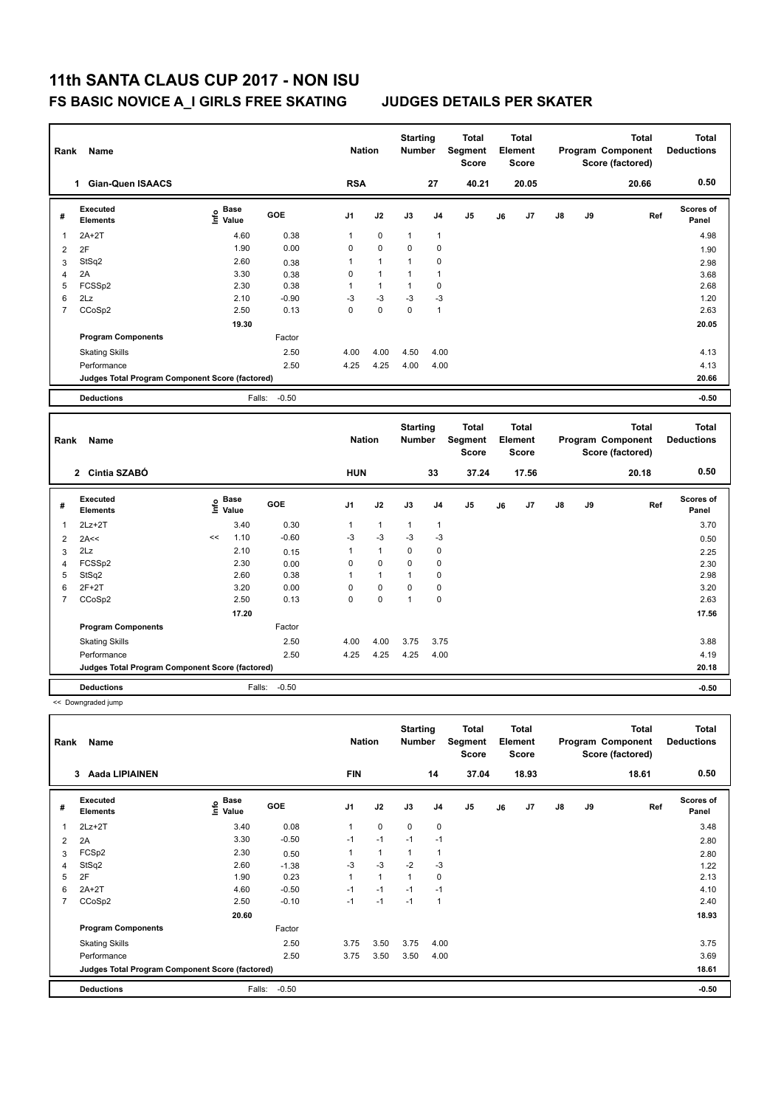| Rank           | Name                                            |                                           |         | <b>Nation</b>  |              | <b>Starting</b><br><b>Number</b> |                | <b>Total</b><br>Segment<br><b>Score</b> |    | <b>Total</b><br>Element<br><b>Score</b> |    |    | <b>Total</b><br>Program Component<br>Score (factored) |     | <b>Total</b><br><b>Deductions</b> |
|----------------|-------------------------------------------------|-------------------------------------------|---------|----------------|--------------|----------------------------------|----------------|-----------------------------------------|----|-----------------------------------------|----|----|-------------------------------------------------------|-----|-----------------------------------|
|                | 1 Gian-Quen ISAACS                              |                                           |         | <b>RSA</b>     |              |                                  | 27             | 40.21                                   |    | 20.05                                   |    |    | 20.66                                                 |     | 0.50                              |
| #              | <b>Executed</b><br><b>Elements</b>              | Base<br>e Base<br>⊆ Value                 | GOE     | J <sub>1</sub> | J2           | J3                               | J <sub>4</sub> | J <sub>5</sub>                          | J6 | J7                                      | J8 | J9 |                                                       | Ref | <b>Scores of</b><br>Panel         |
| 1              | $2A+2T$                                         | 4.60                                      | 0.38    | $\mathbf{1}$   | 0            | $\mathbf{1}$                     | $\mathbf{1}$   |                                         |    |                                         |    |    |                                                       |     | 4.98                              |
| $\overline{2}$ | 2F                                              | 1.90                                      | 0.00    | $\mathbf 0$    | 0            | 0                                | 0              |                                         |    |                                         |    |    |                                                       |     | 1.90                              |
| 3              | StSq2                                           | 2.60                                      | 0.38    | $\mathbf{1}$   | $\mathbf{1}$ | $\mathbf{1}$                     | 0              |                                         |    |                                         |    |    |                                                       |     | 2.98                              |
| $\overline{4}$ | 2A                                              | 3.30                                      | 0.38    | $\mathbf 0$    | $\mathbf{1}$ | $\mathbf{1}$                     | $\mathbf{1}$   |                                         |    |                                         |    |    |                                                       |     | 3.68                              |
| 5              | FCSSp2                                          | 2.30                                      | 0.38    | $\mathbf{1}$   | $\mathbf{1}$ | $\mathbf{1}$                     | $\pmb{0}$      |                                         |    |                                         |    |    |                                                       |     | 2.68                              |
| 6              | 2Lz                                             | 2.10                                      | $-0.90$ | $-3$           | $-3$         | $-3$                             | $-3$           |                                         |    |                                         |    |    |                                                       |     | 1.20                              |
| $\overline{7}$ | CCoSp2                                          | 2.50                                      | 0.13    | $\Omega$       | $\mathbf 0$  | 0                                | $\mathbf{1}$   |                                         |    |                                         |    |    |                                                       |     | 2.63                              |
|                |                                                 | 19.30                                     |         |                |              |                                  |                |                                         |    |                                         |    |    |                                                       |     | 20.05                             |
|                | <b>Program Components</b>                       |                                           | Factor  |                |              |                                  |                |                                         |    |                                         |    |    |                                                       |     |                                   |
|                | <b>Skating Skills</b>                           |                                           | 2.50    | 4.00           | 4.00         | 4.50                             | 4.00           |                                         |    |                                         |    |    |                                                       |     | 4.13                              |
|                | Performance                                     |                                           | 2.50    | 4.25           | 4.25         | 4.00                             | 4.00           |                                         |    |                                         |    |    |                                                       |     | 4.13                              |
|                | Judges Total Program Component Score (factored) |                                           |         |                |              |                                  |                |                                         |    |                                         |    |    |                                                       |     | 20.66                             |
|                | <b>Deductions</b>                               | Falls:                                    | $-0.50$ |                |              |                                  |                |                                         |    |                                         |    |    |                                                       |     | $-0.50$                           |
|                |                                                 |                                           |         |                |              |                                  |                |                                         |    |                                         |    |    |                                                       |     |                                   |
|                |                                                 |                                           |         |                |              |                                  |                |                                         |    |                                         |    |    |                                                       |     |                                   |
| Rank           | Name                                            |                                           |         | <b>Nation</b>  |              | <b>Starting</b><br>Number        |                | <b>Total</b><br>Segment<br><b>Score</b> |    | <b>Total</b><br>Element<br>Score        |    |    | <b>Total</b><br>Program Component<br>Score (factored) |     | <b>Total</b><br><b>Deductions</b> |
|                | 2 Cintia SZABÓ                                  |                                           |         | <b>HUN</b>     |              |                                  | 33             | 37.24                                   |    | 17.56                                   |    |    | 20.18                                                 |     | 0.50                              |
| #              | <b>Executed</b><br><b>Elements</b>              | $\frac{e}{E}$ Base<br>$\frac{e}{E}$ Value | GOE     | J <sub>1</sub> | J2           | J3                               | J <sub>4</sub> | J <sub>5</sub>                          | J6 | J7                                      | J8 | J9 |                                                       | Ref | Scores of<br>Panel                |
| $\overline{1}$ | $2Lz+2T$                                        | 3.40                                      | 0.30    | $\mathbf{1}$   | $\mathbf{1}$ | 1                                | $\mathbf{1}$   |                                         |    |                                         |    |    |                                                       |     | 3.70                              |
| $\overline{2}$ | 2A<<                                            | 1.10<br><<                                | $-0.60$ | -3             | $-3$         | $-3$                             | $-3$           |                                         |    |                                         |    |    |                                                       |     | 0.50                              |
| 3              | 2Lz                                             | 2.10                                      | 0.15    | $\mathbf{1}$   | $\mathbf{1}$ | 0                                | 0              |                                         |    |                                         |    |    |                                                       |     | 2.25                              |
| $\overline{4}$ | FCSSp2                                          | 2.30                                      | 0.00    | $\mathbf 0$    | 0            | 0                                | $\mathbf 0$    |                                         |    |                                         |    |    |                                                       |     | 2.30                              |
| 5              | StSq2                                           | 2.60                                      | 0.38    | 1              | $\mathbf{1}$ | $\mathbf{1}$                     | 0              |                                         |    |                                         |    |    |                                                       |     | 2.98                              |
| 6              | $2F+2T$                                         | 3.20                                      | 0.00    | $\mathbf 0$    | $\mathbf 0$  | 0                                | 0              |                                         |    |                                         |    |    |                                                       |     | 3.20                              |
| $\overline{7}$ | CCoSp2                                          | 2.50                                      | 0.13    | $\mathbf 0$    | 0            | $\mathbf{1}$                     | 0              |                                         |    |                                         |    |    |                                                       |     | 2.63                              |
|                |                                                 | 17.20                                     |         |                |              |                                  |                |                                         |    |                                         |    |    |                                                       |     | 17.56                             |
|                | <b>Program Components</b>                       |                                           | Factor  |                |              |                                  |                |                                         |    |                                         |    |    |                                                       |     |                                   |
|                | <b>Skating Skills</b>                           |                                           | 2.50    | 4.00           | 4.00         | 3.75                             | 3.75           |                                         |    |                                         |    |    |                                                       |     | 3.88                              |
|                | Performance                                     |                                           | 2.50    | 4.25           | 4.25         | 4.25                             | 4.00           |                                         |    |                                         |    |    |                                                       |     | 4.19                              |
|                | Judges Total Program Component Score (factored) |                                           |         |                |              |                                  |                |                                         |    |                                         |    |    |                                                       |     | 20.18                             |

<< Downgraded jump

| Rank           | Name                                            |                           |            | <b>Nation</b>  |              | <b>Starting</b><br><b>Number</b> |                         | <b>Total</b><br>Segment<br><b>Score</b> |    | <b>Total</b><br>Element<br><b>Score</b> |               |    | <b>Total</b><br>Program Component<br>Score (factored) | <b>Total</b><br><b>Deductions</b> |
|----------------|-------------------------------------------------|---------------------------|------------|----------------|--------------|----------------------------------|-------------------------|-----------------------------------------|----|-----------------------------------------|---------------|----|-------------------------------------------------------|-----------------------------------|
|                | <b>Aada LIPIAINEN</b><br>3                      |                           |            | <b>FIN</b>     |              |                                  | 14                      | 37.04                                   |    | 18.93                                   |               |    | 18.61                                                 | 0.50                              |
| #              | Executed<br><b>Elements</b>                     | Base<br>e Base<br>⊆ Value | <b>GOE</b> | J <sub>1</sub> | J2           | J3                               | J <sub>4</sub>          | J <sub>5</sub>                          | J6 | J7                                      | $\mathsf{J}8$ | J9 | Ref                                                   | <b>Scores of</b><br>Panel         |
| 1              | $2Lz+2T$                                        | 3.40                      | 0.08       | 1              | $\mathbf 0$  | $\mathbf 0$                      | $\mathbf 0$             |                                         |    |                                         |               |    |                                                       | 3.48                              |
| 2              | 2A                                              | 3.30                      | $-0.50$    | $-1$           | $-1$         | $-1$                             | $-1$                    |                                         |    |                                         |               |    |                                                       | 2.80                              |
| 3              | FCSp2                                           | 2.30                      | 0.50       | 1              | $\mathbf{1}$ | 1                                | $\overline{\mathbf{1}}$ |                                         |    |                                         |               |    |                                                       | 2.80                              |
| $\overline{4}$ | StSq2                                           | 2.60                      | $-1.38$    | $-3$           | $-3$         | $-2$                             | $-3$                    |                                         |    |                                         |               |    |                                                       | 1.22                              |
| 5              | 2F                                              | 1.90                      | 0.23       | 1              | $\mathbf{1}$ | 1                                | $\mathbf 0$             |                                         |    |                                         |               |    |                                                       | 2.13                              |
| 6              | $2A+2T$                                         | 4.60                      | $-0.50$    | $-1$           | $-1$         | $-1$                             | $-1$                    |                                         |    |                                         |               |    |                                                       | 4.10                              |
| 7              | CCoSp2                                          | 2.50                      | $-0.10$    | $-1$           | $-1$         | $-1$                             | $\overline{1}$          |                                         |    |                                         |               |    |                                                       | 2.40                              |
|                |                                                 | 20.60                     |            |                |              |                                  |                         |                                         |    |                                         |               |    |                                                       | 18.93                             |
|                | <b>Program Components</b>                       |                           | Factor     |                |              |                                  |                         |                                         |    |                                         |               |    |                                                       |                                   |
|                | <b>Skating Skills</b>                           |                           | 2.50       | 3.75           | 3.50         | 3.75                             | 4.00                    |                                         |    |                                         |               |    |                                                       | 3.75                              |
|                | Performance                                     |                           | 2.50       | 3.75           | 3.50         | 3.50                             | 4.00                    |                                         |    |                                         |               |    |                                                       | 3.69                              |
|                | Judges Total Program Component Score (factored) |                           |            |                |              |                                  |                         |                                         |    |                                         |               |    |                                                       | 18.61                             |
|                | <b>Deductions</b>                               | Falls:                    | $-0.50$    |                |              |                                  |                         |                                         |    |                                         |               |    |                                                       | $-0.50$                           |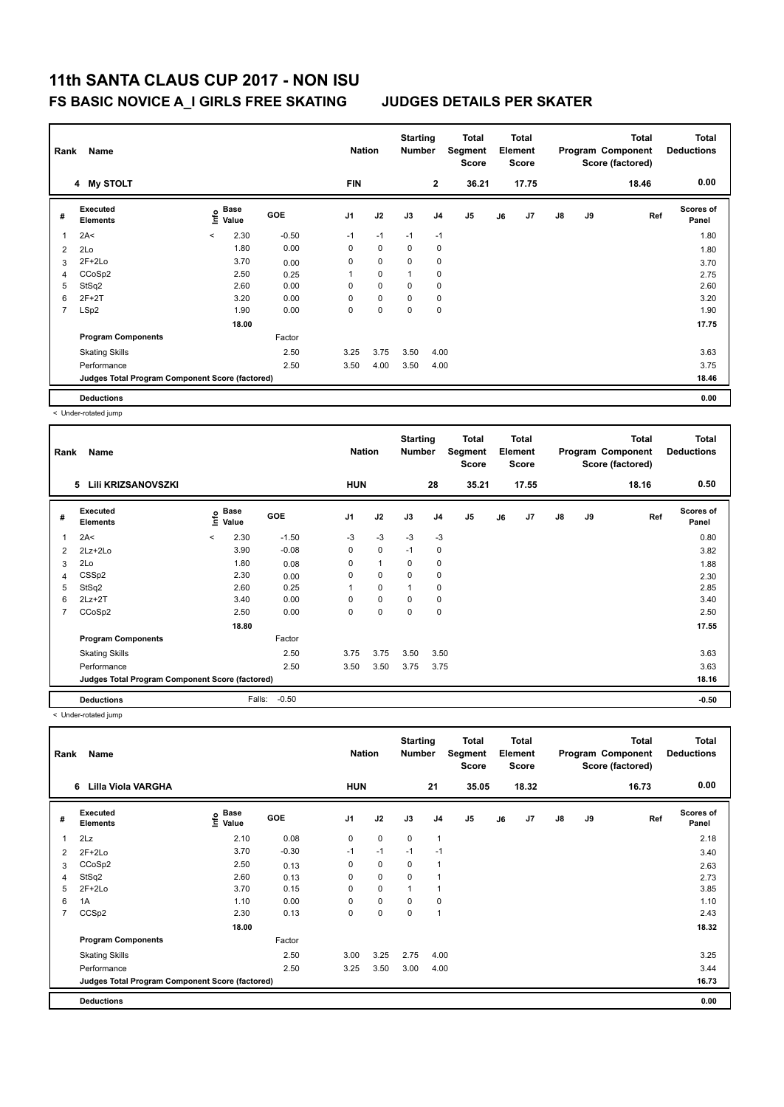| Rank           | Name                                            |                          |                           |            | <b>Nation</b>  |             | <b>Starting</b><br><b>Number</b> |                | <b>Total</b><br>Segment<br><b>Score</b> |    | <b>Total</b><br>Element<br><b>Score</b> |               |    | <b>Total</b><br>Program Component<br>Score (factored) | Total<br><b>Deductions</b> |
|----------------|-------------------------------------------------|--------------------------|---------------------------|------------|----------------|-------------|----------------------------------|----------------|-----------------------------------------|----|-----------------------------------------|---------------|----|-------------------------------------------------------|----------------------------|
|                | 4 My STOLT                                      |                          |                           |            | <b>FIN</b>     |             |                                  | $\mathbf{2}$   | 36.21                                   |    | 17.75                                   |               |    | 18.46                                                 | 0.00                       |
| #              | Executed<br><b>Elements</b>                     |                          | Base<br>e Base<br>⊆ Value | <b>GOE</b> | J <sub>1</sub> | J2          | J3                               | J <sub>4</sub> | J <sub>5</sub>                          | J6 | J7                                      | $\mathsf{J}8$ | J9 | Ref                                                   | <b>Scores of</b><br>Panel  |
| 1              | 2A<                                             | $\overline{\phantom{a}}$ | 2.30                      | $-0.50$    | $-1$           | $-1$        | $-1$                             | $-1$           |                                         |    |                                         |               |    |                                                       | 1.80                       |
| $\overline{2}$ | 2Lo                                             |                          | 1.80                      | 0.00       | 0              | $\mathbf 0$ | 0                                | 0              |                                         |    |                                         |               |    |                                                       | 1.80                       |
| 3              | $2F+2Lo$                                        |                          | 3.70                      | 0.00       | 0              | 0           | 0                                | 0              |                                         |    |                                         |               |    |                                                       | 3.70                       |
| 4              | CCoSp2                                          |                          | 2.50                      | 0.25       |                | 0           | $\mathbf{1}$                     | 0              |                                         |    |                                         |               |    |                                                       | 2.75                       |
| 5              | StSq2                                           |                          | 2.60                      | 0.00       | 0              | 0           | 0                                | 0              |                                         |    |                                         |               |    |                                                       | 2.60                       |
| 6              | $2F+2T$                                         |                          | 3.20                      | 0.00       | 0              | 0           | 0                                | 0              |                                         |    |                                         |               |    |                                                       | 3.20                       |
| 7              | LSp2                                            |                          | 1.90                      | 0.00       | 0              | 0           | 0                                | 0              |                                         |    |                                         |               |    |                                                       | 1.90                       |
|                |                                                 |                          | 18.00                     |            |                |             |                                  |                |                                         |    |                                         |               |    |                                                       | 17.75                      |
|                | <b>Program Components</b>                       |                          |                           | Factor     |                |             |                                  |                |                                         |    |                                         |               |    |                                                       |                            |
|                | <b>Skating Skills</b>                           |                          |                           | 2.50       | 3.25           | 3.75        | 3.50                             | 4.00           |                                         |    |                                         |               |    |                                                       | 3.63                       |
|                | Performance                                     |                          |                           | 2.50       | 3.50           | 4.00        | 3.50                             | 4.00           |                                         |    |                                         |               |    |                                                       | 3.75                       |
|                | Judges Total Program Component Score (factored) |                          |                           |            |                |             |                                  |                |                                         |    |                                         |               |    |                                                       | 18.46                      |
|                | <b>Deductions</b>                               |                          |                           |            |                |             |                                  |                |                                         |    |                                         |               |    |                                                       | 0.00                       |

< Under-rotated jump

| Rank | Name                                            |         |                      |         |                | <b>Nation</b> | <b>Starting</b><br>Number |                | Total<br>Segment<br><b>Score</b> |    | <b>Total</b><br>Element<br><b>Score</b> |               |    | <b>Total</b><br>Program Component<br>Score (factored) | <b>Total</b><br><b>Deductions</b> |
|------|-------------------------------------------------|---------|----------------------|---------|----------------|---------------|---------------------------|----------------|----------------------------------|----|-----------------------------------------|---------------|----|-------------------------------------------------------|-----------------------------------|
|      | Lili KRIZSANOVSZKI<br>5                         |         |                      |         | <b>HUN</b>     |               |                           | 28             | 35.21                            |    | 17.55                                   |               |    | 18.16                                                 | 0.50                              |
| #    | Executed<br><b>Elements</b>                     | ١nf٥    | <b>Base</b><br>Value | GOE     | J <sub>1</sub> | J2            | J3                        | J <sub>4</sub> | J5                               | J6 | J7                                      | $\mathsf{J}8$ | J9 | Ref                                                   | <b>Scores of</b><br>Panel         |
| 1    | 2A<                                             | $\prec$ | 2.30                 | $-1.50$ | $-3$           | $-3$          | $-3$                      | $-3$           |                                  |    |                                         |               |    |                                                       | 0.80                              |
| 2    | 2Lz+2Lo                                         |         | 3.90                 | $-0.08$ | $\mathbf 0$    | 0             | $-1$                      | 0              |                                  |    |                                         |               |    |                                                       | 3.82                              |
| 3    | 2Lo                                             |         | 1.80                 | 0.08    | 0              | 1             | 0                         | 0              |                                  |    |                                         |               |    |                                                       | 1.88                              |
| 4    | CSS <sub>p2</sub>                               |         | 2.30                 | 0.00    | 0              | 0             | 0                         | 0              |                                  |    |                                         |               |    |                                                       | 2.30                              |
| 5    | StSq2                                           |         | 2.60                 | 0.25    | $\mathbf 1$    | 0             | $\mathbf{1}$              | 0              |                                  |    |                                         |               |    |                                                       | 2.85                              |
| 6    | $2Lz+2T$                                        |         | 3.40                 | 0.00    | 0              | 0             | $\Omega$                  | $\mathbf 0$    |                                  |    |                                         |               |    |                                                       | 3.40                              |
| 7    | CCoSp2                                          |         | 2.50                 | 0.00    | 0              | 0             | $\Omega$                  | $\mathbf 0$    |                                  |    |                                         |               |    |                                                       | 2.50                              |
|      |                                                 |         | 18.80                |         |                |               |                           |                |                                  |    |                                         |               |    |                                                       | 17.55                             |
|      | <b>Program Components</b>                       |         |                      | Factor  |                |               |                           |                |                                  |    |                                         |               |    |                                                       |                                   |
|      | <b>Skating Skills</b>                           |         |                      | 2.50    | 3.75           | 3.75          | 3.50                      | 3.50           |                                  |    |                                         |               |    |                                                       | 3.63                              |
|      | Performance                                     |         |                      | 2.50    | 3.50           | 3.50          | 3.75                      | 3.75           |                                  |    |                                         |               |    |                                                       | 3.63                              |
|      | Judges Total Program Component Score (factored) |         |                      |         |                |               |                           |                |                                  |    |                                         |               |    |                                                       | 18.16                             |
|      | <b>Deductions</b>                               |         | Falls:               | $-0.50$ |                |               |                           |                |                                  |    |                                         |               |    |                                                       | $-0.50$                           |

< Under-rotated jump

| Rank           | Name                                            |                                  |            | <b>Nation</b>  |             | <b>Starting</b><br><b>Number</b> |                | Total<br>Segment<br><b>Score</b> |    | <b>Total</b><br>Element<br><b>Score</b> |               |    | <b>Total</b><br>Program Component<br>Score (factored) | <b>Total</b><br><b>Deductions</b> |
|----------------|-------------------------------------------------|----------------------------------|------------|----------------|-------------|----------------------------------|----------------|----------------------------------|----|-----------------------------------------|---------------|----|-------------------------------------------------------|-----------------------------------|
|                | Lilla Viola VARGHA<br>6                         |                                  |            | <b>HUN</b>     |             |                                  | 21             | 35.05                            |    | 18.32                                   |               |    | 16.73                                                 | 0.00                              |
| #              | Executed<br><b>Elements</b>                     | <b>Base</b><br>e Base<br>⊆ Value | <b>GOE</b> | J <sub>1</sub> | J2          | J3                               | J <sub>4</sub> | J <sub>5</sub>                   | J6 | J7                                      | $\mathsf{J}8$ | J9 | Ref                                                   | Scores of<br>Panel                |
| 1              | 2Lz                                             | 2.10                             | 0.08       | 0              | $\pmb{0}$   | $\pmb{0}$                        | $\overline{1}$ |                                  |    |                                         |               |    |                                                       | 2.18                              |
| 2              | $2F+2Lo$                                        | 3.70                             | $-0.30$    | $-1$           | $-1$        | $-1$                             | $-1$           |                                  |    |                                         |               |    |                                                       | 3.40                              |
| 3              | CCoSp2                                          | 2.50                             | 0.13       | 0              | $\mathbf 0$ | 0                                | $\overline{1}$ |                                  |    |                                         |               |    |                                                       | 2.63                              |
| 4              | StSq2                                           | 2.60                             | 0.13       | 0              | $\pmb{0}$   | 0                                |                |                                  |    |                                         |               |    |                                                       | 2.73                              |
| 5              | $2F+2Lo$                                        | 3.70                             | 0.15       | 0              | $\mathbf 0$ |                                  |                |                                  |    |                                         |               |    |                                                       | 3.85                              |
| 6              | 1A                                              | 1.10                             | 0.00       | 0              | $\mathbf 0$ | 0                                | $\mathbf 0$    |                                  |    |                                         |               |    |                                                       | 1.10                              |
| $\overline{7}$ | CCS <sub>p2</sub>                               | 2.30                             | 0.13       | 0              | $\pmb{0}$   | 0                                | $\overline{1}$ |                                  |    |                                         |               |    |                                                       | 2.43                              |
|                |                                                 | 18.00                            |            |                |             |                                  |                |                                  |    |                                         |               |    |                                                       | 18.32                             |
|                | <b>Program Components</b>                       |                                  | Factor     |                |             |                                  |                |                                  |    |                                         |               |    |                                                       |                                   |
|                | <b>Skating Skills</b>                           |                                  | 2.50       | 3.00           | 3.25        | 2.75                             | 4.00           |                                  |    |                                         |               |    |                                                       | 3.25                              |
|                | Performance                                     |                                  | 2.50       | 3.25           | 3.50        | 3.00                             | 4.00           |                                  |    |                                         |               |    |                                                       | 3.44                              |
|                | Judges Total Program Component Score (factored) |                                  |            |                |             |                                  |                |                                  |    |                                         |               |    |                                                       | 16.73                             |
|                | <b>Deductions</b>                               |                                  |            |                |             |                                  |                |                                  |    |                                         |               |    |                                                       | 0.00                              |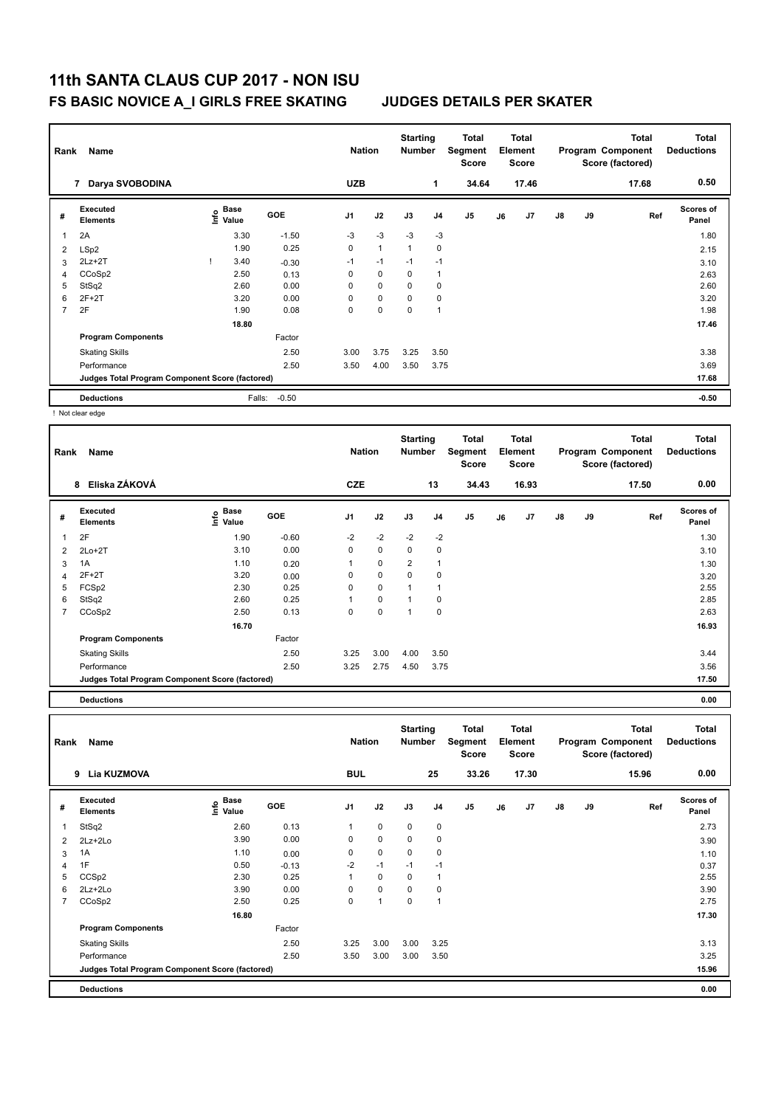# **11th SANTA CLAUS CUP 2017 - NON ISU**

## **FS BASIC NOVICE A\_I GIRLS FREE SKATING JUDGES DETAILS PER SKATER**

| Rank | Name                                            |                           |         | <b>Nation</b>  |              | <b>Starting</b><br><b>Number</b> |                | Total<br>Segment<br><b>Score</b> |    | <b>Total</b><br>Element<br><b>Score</b> |               |    | <b>Total</b><br>Program Component<br>Score (factored) | <b>Total</b><br><b>Deductions</b> |
|------|-------------------------------------------------|---------------------------|---------|----------------|--------------|----------------------------------|----------------|----------------------------------|----|-----------------------------------------|---------------|----|-------------------------------------------------------|-----------------------------------|
|      | Darya SVOBODINA<br>7                            |                           |         | <b>UZB</b>     |              |                                  | $\mathbf 1$    | 34.64                            |    | 17.46                                   |               |    | 17.68                                                 | 0.50                              |
| #    | Executed<br><b>Elements</b>                     | Base<br>e Base<br>⊆ Value | GOE     | J <sub>1</sub> | J2           | J3                               | J <sub>4</sub> | J <sub>5</sub>                   | J6 | J7                                      | $\mathsf{J}8$ | J9 | Ref                                                   | <b>Scores of</b><br>Panel         |
|      | 2A                                              | 3.30                      | $-1.50$ | $-3$           | $-3$         | $-3$                             | $-3$           |                                  |    |                                         |               |    |                                                       | 1.80                              |
| 2    | LSp2                                            | 1.90                      | 0.25    | $\mathbf 0$    | $\mathbf{1}$ | $\mathbf{1}$                     | 0              |                                  |    |                                         |               |    |                                                       | 2.15                              |
| 3    | $2Lz + 2T$                                      | 3.40                      | $-0.30$ | $-1$           | $-1$         | $-1$                             | $-1$           |                                  |    |                                         |               |    |                                                       | 3.10                              |
| 4    | CCoSp2                                          | 2.50                      | 0.13    | 0              | $\mathbf 0$  | $\mathbf 0$                      |                |                                  |    |                                         |               |    |                                                       | 2.63                              |
| 5    | StSq2                                           | 2.60                      | 0.00    | $\Omega$       | $\mathbf 0$  | $\Omega$                         | 0              |                                  |    |                                         |               |    |                                                       | 2.60                              |
| 6    | $2F+2T$                                         | 3.20                      | 0.00    | $\Omega$       | $\mathbf 0$  | $\Omega$                         | 0              |                                  |    |                                         |               |    |                                                       | 3.20                              |
| 7    | 2F                                              | 1.90                      | 0.08    | 0              | 0            | 0                                | 1              |                                  |    |                                         |               |    |                                                       | 1.98                              |
|      |                                                 | 18.80                     |         |                |              |                                  |                |                                  |    |                                         |               |    |                                                       | 17.46                             |
|      | <b>Program Components</b>                       |                           | Factor  |                |              |                                  |                |                                  |    |                                         |               |    |                                                       |                                   |
|      | <b>Skating Skills</b>                           |                           | 2.50    | 3.00           | 3.75         | 3.25                             | 3.50           |                                  |    |                                         |               |    |                                                       | 3.38                              |
|      | Performance                                     |                           | 2.50    | 3.50           | 4.00         | 3.50                             | 3.75           |                                  |    |                                         |               |    |                                                       | 3.69                              |
|      | Judges Total Program Component Score (factored) |                           |         |                |              |                                  |                |                                  |    |                                         |               |    |                                                       | 17.68                             |
|      | <b>Deductions</b><br>$\cdots$                   | Falls:                    | $-0.50$ |                |              |                                  |                |                                  |    |                                         |               |    |                                                       | $-0.50$                           |

! Not clear edge

| Rank | Name                                            |                   |            | <b>Nation</b>  |             | <b>Starting</b><br><b>Number</b> |                | Total<br>Segment<br><b>Score</b> |    | Total<br>Element<br><b>Score</b> |               |    | Total<br>Program Component<br>Score (factored) | <b>Total</b><br><b>Deductions</b> |
|------|-------------------------------------------------|-------------------|------------|----------------|-------------|----------------------------------|----------------|----------------------------------|----|----------------------------------|---------------|----|------------------------------------------------|-----------------------------------|
|      | Eliska ZÁKOVÁ<br>8                              |                   |            | <b>CZE</b>     |             |                                  | 13             | 34.43                            |    | 16.93                            |               |    | 17.50                                          | 0.00                              |
| #    | Executed<br><b>Elements</b>                     | e Base<br>E Value | <b>GOE</b> | J <sub>1</sub> | J2          | J3                               | J <sub>4</sub> | J <sub>5</sub>                   | J6 | J7                               | $\mathsf{J}8$ | J9 | Ref                                            | <b>Scores of</b><br>Panel         |
| 1    | 2F                                              | 1.90              | $-0.60$    | $-2$           | $-2$        | $-2$                             | $-2$           |                                  |    |                                  |               |    |                                                | 1.30                              |
| 2    | $2Lo+2T$                                        | 3.10              | 0.00       | $\mathbf 0$    | $\mathbf 0$ | $\mathbf 0$                      | $\pmb{0}$      |                                  |    |                                  |               |    |                                                | 3.10                              |
| 3    | 1A                                              | 1.10              | 0.20       |                | $\mathbf 0$ | $\overline{2}$                   | $\overline{1}$ |                                  |    |                                  |               |    |                                                | 1.30                              |
| 4    | $2F+2T$                                         | 3.20              | 0.00       | 0              | $\mathbf 0$ | $\mathbf 0$                      | $\pmb{0}$      |                                  |    |                                  |               |    |                                                | 3.20                              |
| 5    | FCSp2                                           | 2.30              | 0.25       | 0              | $\mathbf 0$ | 1                                | $\overline{1}$ |                                  |    |                                  |               |    |                                                | 2.55                              |
| 6    | StSq2                                           | 2.60              | 0.25       |                | $\mathbf 0$ | 1                                | $\mathbf 0$    |                                  |    |                                  |               |    |                                                | 2.85                              |
| 7    | CCoSp2                                          | 2.50              | 0.13       | 0              | $\pmb{0}$   | 1                                | $\pmb{0}$      |                                  |    |                                  |               |    |                                                | 2.63                              |
|      |                                                 | 16.70             |            |                |             |                                  |                |                                  |    |                                  |               |    |                                                | 16.93                             |
|      | <b>Program Components</b>                       |                   | Factor     |                |             |                                  |                |                                  |    |                                  |               |    |                                                |                                   |
|      | <b>Skating Skills</b>                           |                   | 2.50       | 3.25           | 3.00        | 4.00                             | 3.50           |                                  |    |                                  |               |    |                                                | 3.44                              |
|      | Performance                                     |                   | 2.50       | 3.25           | 2.75        | 4.50                             | 3.75           |                                  |    |                                  |               |    |                                                | 3.56                              |
|      | Judges Total Program Component Score (factored) |                   |            |                |             |                                  |                |                                  |    |                                  |               |    |                                                | 17.50                             |
|      |                                                 |                   |            |                |             |                                  |                |                                  |    |                                  |               |    |                                                |                                   |

**Deductions 0.00**

| Rank | Name                                            |                                           |         | <b>Nation</b>  |             | <b>Starting</b><br><b>Number</b> |      | Total<br>Segment<br><b>Score</b> |    | <b>Total</b><br>Element<br><b>Score</b> |               |    | <b>Total</b><br>Program Component<br>Score (factored) | <b>Total</b><br><b>Deductions</b> |
|------|-------------------------------------------------|-------------------------------------------|---------|----------------|-------------|----------------------------------|------|----------------------------------|----|-----------------------------------------|---------------|----|-------------------------------------------------------|-----------------------------------|
|      | Lia KUZMOVA<br>9                                |                                           |         | <b>BUL</b>     |             |                                  | 25   | 33.26                            |    | 17.30                                   |               |    | 15.96                                                 | 0.00                              |
| #    | Executed<br><b>Elements</b>                     | $\frac{e}{E}$ Base<br>$\frac{E}{E}$ Value | GOE     | J <sub>1</sub> | J2          | J3                               | J4   | J5                               | J6 | J7                                      | $\mathsf{J}8$ | J9 | Ref                                                   | Scores of<br>Panel                |
| 1    | StSq2                                           | 2.60                                      | 0.13    | 1              | $\mathbf 0$ | 0                                | 0    |                                  |    |                                         |               |    |                                                       | 2.73                              |
| 2    | 2Lz+2Lo                                         | 3.90                                      | 0.00    | 0              | $\mathbf 0$ | 0                                | 0    |                                  |    |                                         |               |    |                                                       | 3.90                              |
| 3    | 1A                                              | 1.10                                      | 0.00    | 0              | $\mathbf 0$ | 0                                | 0    |                                  |    |                                         |               |    |                                                       | 1.10                              |
| 4    | 1F                                              | 0.50                                      | $-0.13$ | $-2$           | $-1$        | $-1$                             | $-1$ |                                  |    |                                         |               |    |                                                       | 0.37                              |
| 5    | CCS <sub>p2</sub>                               | 2.30                                      | 0.25    | 1              | $\mathbf 0$ | 0                                | 1    |                                  |    |                                         |               |    |                                                       | 2.55                              |
| 6    | 2Lz+2Lo                                         | 3.90                                      | 0.00    | 0              | $\mathbf 0$ | $\Omega$                         | 0    |                                  |    |                                         |               |    |                                                       | 3.90                              |
|      | CCoSp2                                          | 2.50                                      | 0.25    | 0              | 1           | 0                                | 1    |                                  |    |                                         |               |    |                                                       | 2.75                              |
|      |                                                 | 16.80                                     |         |                |             |                                  |      |                                  |    |                                         |               |    |                                                       | 17.30                             |
|      | <b>Program Components</b>                       |                                           | Factor  |                |             |                                  |      |                                  |    |                                         |               |    |                                                       |                                   |
|      | <b>Skating Skills</b>                           |                                           | 2.50    | 3.25           | 3.00        | 3.00                             | 3.25 |                                  |    |                                         |               |    |                                                       | 3.13                              |
|      | Performance                                     |                                           | 2.50    | 3.50           | 3.00        | 3.00                             | 3.50 |                                  |    |                                         |               |    |                                                       | 3.25                              |
|      | Judges Total Program Component Score (factored) |                                           |         |                |             |                                  |      |                                  |    |                                         |               |    |                                                       | 15.96                             |
|      | <b>Deductions</b>                               |                                           |         |                |             |                                  |      |                                  |    |                                         |               |    |                                                       | 0.00                              |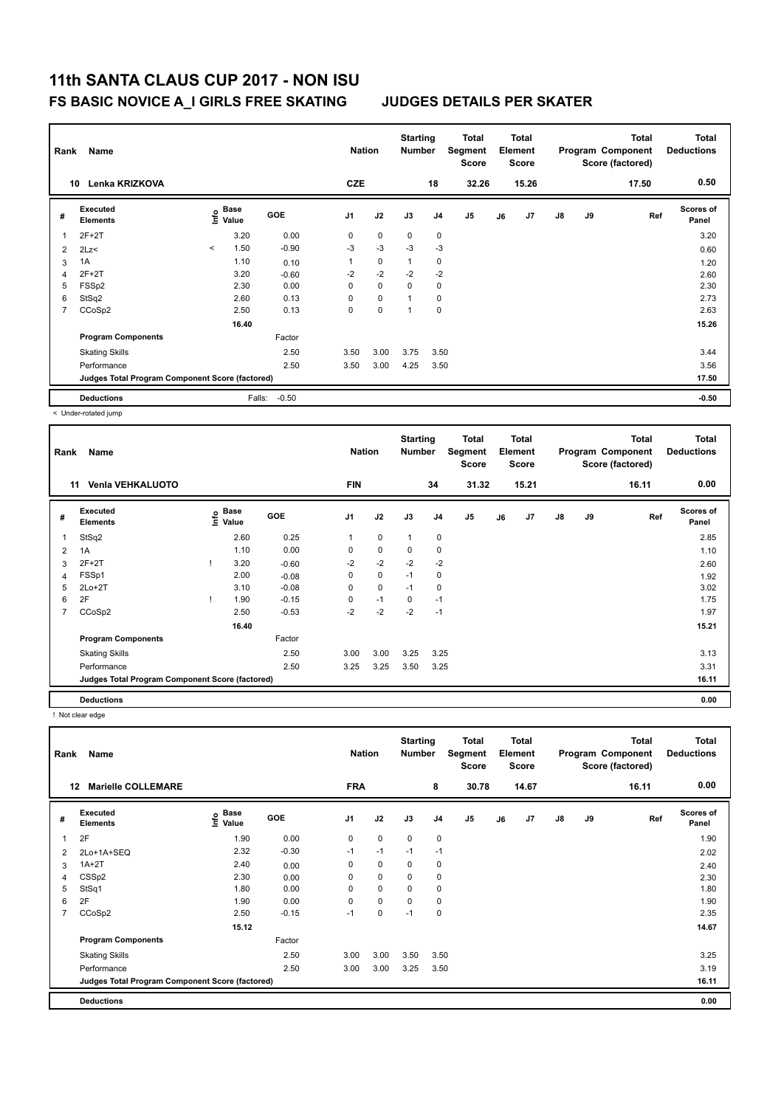| Rank           | Name                                            |                          |                           |         | <b>Nation</b>  |             | <b>Starting</b><br><b>Number</b> |                | Total<br>Segment<br><b>Score</b> |    | <b>Total</b><br>Element<br>Score |               |    | <b>Total</b><br>Program Component<br>Score (factored) | <b>Total</b><br><b>Deductions</b> |
|----------------|-------------------------------------------------|--------------------------|---------------------------|---------|----------------|-------------|----------------------------------|----------------|----------------------------------|----|----------------------------------|---------------|----|-------------------------------------------------------|-----------------------------------|
|                | Lenka KRIZKOVA<br>10                            |                          |                           |         | <b>CZE</b>     |             |                                  | 18             | 32.26                            |    | 15.26                            |               |    | 17.50                                                 | 0.50                              |
| #              | Executed<br><b>Elements</b>                     |                          | Base<br>e Base<br>⊆ Value | GOE     | J <sub>1</sub> | J2          | J3                               | J <sub>4</sub> | J <sub>5</sub>                   | J6 | J7                               | $\mathsf{J}8$ | J9 | Ref                                                   | <b>Scores of</b><br>Panel         |
|                | $2F+2T$                                         |                          | 3.20                      | 0.00    | 0              | $\mathbf 0$ | $\mathbf 0$                      | 0              |                                  |    |                                  |               |    |                                                       | 3.20                              |
| $\overline{2}$ | 2Lz                                             | $\overline{\phantom{a}}$ | 1.50                      | $-0.90$ | $-3$           | $-3$        | $-3$                             | $-3$           |                                  |    |                                  |               |    |                                                       | 0.60                              |
| 3              | 1A                                              |                          | 1.10                      | 0.10    | 1              | $\mathbf 0$ | $\mathbf{1}$                     | 0              |                                  |    |                                  |               |    |                                                       | 1.20                              |
| 4              | $2F+2T$                                         |                          | 3.20                      | $-0.60$ | $-2$           | $-2$        | $-2$                             | $-2$           |                                  |    |                                  |               |    |                                                       | 2.60                              |
| 5              | FSSp2                                           |                          | 2.30                      | 0.00    | $\Omega$       | $\mathbf 0$ | $\Omega$                         | 0              |                                  |    |                                  |               |    |                                                       | 2.30                              |
| 6              | StSq2                                           |                          | 2.60                      | 0.13    | $\Omega$       | $\mathbf 0$ | 1                                | 0              |                                  |    |                                  |               |    |                                                       | 2.73                              |
| $\overline{7}$ | CCoSp2                                          |                          | 2.50                      | 0.13    | 0              | 0           | 1                                | 0              |                                  |    |                                  |               |    |                                                       | 2.63                              |
|                |                                                 |                          | 16.40                     |         |                |             |                                  |                |                                  |    |                                  |               |    |                                                       | 15.26                             |
|                | <b>Program Components</b>                       |                          |                           | Factor  |                |             |                                  |                |                                  |    |                                  |               |    |                                                       |                                   |
|                | <b>Skating Skills</b>                           |                          |                           | 2.50    | 3.50           | 3.00        | 3.75                             | 3.50           |                                  |    |                                  |               |    |                                                       | 3.44                              |
|                | Performance                                     |                          |                           | 2.50    | 3.50           | 3.00        | 4.25                             | 3.50           |                                  |    |                                  |               |    |                                                       | 3.56                              |
|                | Judges Total Program Component Score (factored) |                          |                           |         |                |             |                                  |                |                                  |    |                                  |               |    |                                                       | 17.50                             |
|                | <b>Deductions</b>                               |                          | Falls:                    | $-0.50$ |                |             |                                  |                |                                  |    |                                  |               |    |                                                       | $-0.50$                           |

< Under-rotated jump

| Rank           | Name                                            |      |               |         | <b>Nation</b>  |             | <b>Starting</b><br><b>Number</b> |                | <b>Total</b><br>Segment<br>Score |    | <b>Total</b><br>Element<br><b>Score</b> |               |    | <b>Total</b><br>Program Component<br>Score (factored) | <b>Total</b><br><b>Deductions</b> |
|----------------|-------------------------------------------------|------|---------------|---------|----------------|-------------|----------------------------------|----------------|----------------------------------|----|-----------------------------------------|---------------|----|-------------------------------------------------------|-----------------------------------|
|                | <b>Venia VEHKALUOTO</b><br>11                   |      |               |         | <b>FIN</b>     |             |                                  | 34             | 31.32                            |    | 15.21                                   |               |    | 16.11                                                 | 0.00                              |
| #              | <b>Executed</b><br><b>Elements</b>              | lnfo | Base<br>Value | GOE     | J <sub>1</sub> | J2          | J3                               | J <sub>4</sub> | J <sub>5</sub>                   | J6 | J7                                      | $\mathsf{J}8$ | J9 | Ref                                                   | Scores of<br>Panel                |
| 1              | StSq2                                           |      | 2.60          | 0.25    |                | $\mathbf 0$ | 1                                | 0              |                                  |    |                                         |               |    |                                                       | 2.85                              |
| $\overline{2}$ | 1A                                              |      | 1.10          | 0.00    | 0              | 0           | 0                                | $\mathbf 0$    |                                  |    |                                         |               |    |                                                       | 1.10                              |
| 3              | $2F+2T$                                         |      | 3.20          | $-0.60$ | $-2$           | $-2$        | $-2$                             | $-2$           |                                  |    |                                         |               |    |                                                       | 2.60                              |
| 4              | FSSp1                                           |      | 2.00          | $-0.08$ | 0              | $\mathbf 0$ | $-1$                             | 0              |                                  |    |                                         |               |    |                                                       | 1.92                              |
| 5              | $2Lo+2T$                                        |      | 3.10          | $-0.08$ | 0              | $\mathbf 0$ | $-1$                             | $\mathbf 0$    |                                  |    |                                         |               |    |                                                       | 3.02                              |
| 6              | 2F                                              |      | 1.90          | $-0.15$ | 0              | $-1$        | 0                                | $-1$           |                                  |    |                                         |               |    |                                                       | 1.75                              |
| 7              | CCoSp2                                          |      | 2.50          | $-0.53$ | $-2$           | $-2$        | -2                               | $-1$           |                                  |    |                                         |               |    |                                                       | 1.97                              |
|                |                                                 |      | 16.40         |         |                |             |                                  |                |                                  |    |                                         |               |    |                                                       | 15.21                             |
|                | <b>Program Components</b>                       |      |               | Factor  |                |             |                                  |                |                                  |    |                                         |               |    |                                                       |                                   |
|                | <b>Skating Skills</b>                           |      |               | 2.50    | 3.00           | 3.00        | 3.25                             | 3.25           |                                  |    |                                         |               |    |                                                       | 3.13                              |
|                | Performance                                     |      |               | 2.50    | 3.25           | 3.25        | 3.50                             | 3.25           |                                  |    |                                         |               |    |                                                       | 3.31                              |
|                | Judges Total Program Component Score (factored) |      |               |         |                |             |                                  |                |                                  |    |                                         |               |    |                                                       | 16.11                             |
|                | <b>Deductions</b>                               |      |               |         |                |             |                                  |                |                                  |    |                                         |               |    |                                                       | 0.00                              |

! Not clear edge

| Rank           | Name                                            |                                      |            | <b>Nation</b>  |             | <b>Starting</b><br><b>Number</b> |                | Total<br>Segment<br>Score |    | <b>Total</b><br>Element<br><b>Score</b> |               |    | <b>Total</b><br>Program Component<br>Score (factored) | <b>Total</b><br><b>Deductions</b> |
|----------------|-------------------------------------------------|--------------------------------------|------------|----------------|-------------|----------------------------------|----------------|---------------------------|----|-----------------------------------------|---------------|----|-------------------------------------------------------|-----------------------------------|
|                | <b>Marielle COLLEMARE</b><br>12                 |                                      |            | <b>FRA</b>     |             |                                  | 8              | 30.78                     |    | 14.67                                   |               |    | 16.11                                                 | 0.00                              |
| #              | Executed<br><b>Elements</b>                     | Base<br>e <sup>Base</sup><br>⊆ Value | <b>GOE</b> | J <sub>1</sub> | J2          | J3                               | J <sub>4</sub> | J5                        | J6 | J7                                      | $\mathsf{J}8$ | J9 | Ref                                                   | <b>Scores of</b><br>Panel         |
|                | 2F                                              | 1.90                                 | 0.00       | $\mathbf 0$    | $\mathbf 0$ | $\mathbf 0$                      | $\mathbf 0$    |                           |    |                                         |               |    |                                                       | 1.90                              |
| 2              | 2Lo+1A+SEQ                                      | 2.32                                 | $-0.30$    | $-1$           | $-1$        | $-1$                             | $-1$           |                           |    |                                         |               |    |                                                       | 2.02                              |
| 3              | $1A+2T$                                         | 2.40                                 | 0.00       | 0              | $\mathbf 0$ | $\mathbf 0$                      | $\mathbf 0$    |                           |    |                                         |               |    |                                                       | 2.40                              |
| 4              | CSS <sub>p2</sub>                               | 2.30                                 | 0.00       | 0              | $\mathbf 0$ | $\mathbf 0$                      | 0              |                           |    |                                         |               |    |                                                       | 2.30                              |
| 5              | StSq1                                           | 1.80                                 | 0.00       | 0              | $\mathbf 0$ | $\Omega$                         | $\mathbf 0$    |                           |    |                                         |               |    |                                                       | 1.80                              |
| 6              | 2F                                              | 1.90                                 | 0.00       | 0              | $\mathbf 0$ | $\mathbf 0$                      | $\mathbf 0$    |                           |    |                                         |               |    |                                                       | 1.90                              |
| $\overline{7}$ | CCoSp2                                          | 2.50                                 | $-0.15$    | $-1$           | $\mathbf 0$ | $-1$                             | $\mathbf 0$    |                           |    |                                         |               |    |                                                       | 2.35                              |
|                |                                                 | 15.12                                |            |                |             |                                  |                |                           |    |                                         |               |    |                                                       | 14.67                             |
|                | <b>Program Components</b>                       |                                      | Factor     |                |             |                                  |                |                           |    |                                         |               |    |                                                       |                                   |
|                | <b>Skating Skills</b>                           |                                      | 2.50       | 3.00           | 3.00        | 3.50                             | 3.50           |                           |    |                                         |               |    |                                                       | 3.25                              |
|                | Performance                                     |                                      | 2.50       | 3.00           | 3.00        | 3.25                             | 3.50           |                           |    |                                         |               |    |                                                       | 3.19                              |
|                | Judges Total Program Component Score (factored) |                                      |            |                |             |                                  |                |                           |    |                                         |               |    |                                                       | 16.11                             |
|                | <b>Deductions</b>                               |                                      |            |                |             |                                  |                |                           |    |                                         |               |    |                                                       | 0.00                              |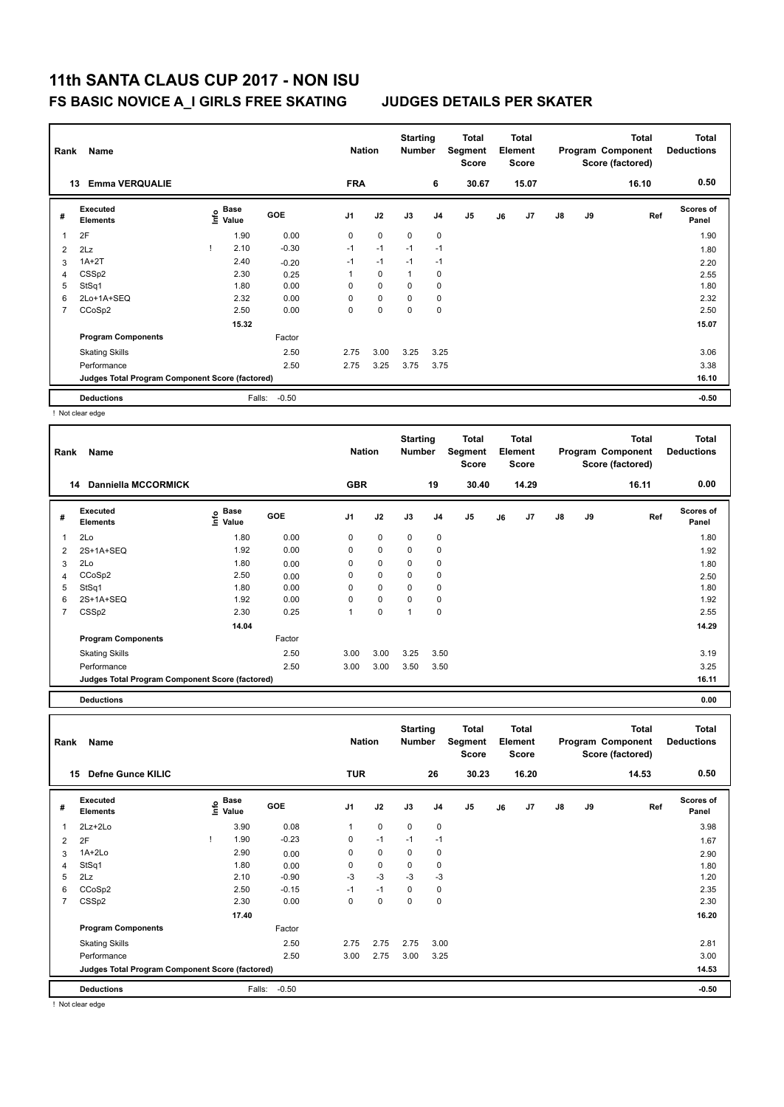| Rank           | Name                                            |                                  |         | <b>Nation</b>  |             | <b>Starting</b><br><b>Number</b> |                | Total<br>Segment<br><b>Score</b> |    | <b>Total</b><br>Element<br><b>Score</b> |               |    | <b>Total</b><br>Program Component<br>Score (factored) | <b>Total</b><br><b>Deductions</b> |
|----------------|-------------------------------------------------|----------------------------------|---------|----------------|-------------|----------------------------------|----------------|----------------------------------|----|-----------------------------------------|---------------|----|-------------------------------------------------------|-----------------------------------|
|                | <b>Emma VERQUALIE</b><br>13                     |                                  |         | <b>FRA</b>     |             |                                  | 6              | 30.67                            |    | 15.07                                   |               |    | 16.10                                                 | 0.50                              |
| #              | <b>Executed</b><br><b>Elements</b>              | <b>Base</b><br>e Base<br>⊆ Value | GOE     | J <sub>1</sub> | J2          | J3                               | J <sub>4</sub> | J <sub>5</sub>                   | J6 | J <sub>7</sub>                          | $\mathsf{J}8$ | J9 | Ref                                                   | Scores of<br>Panel                |
|                | 2F                                              | 1.90                             | 0.00    | 0              | $\mathbf 0$ | $\mathbf 0$                      | 0              |                                  |    |                                         |               |    |                                                       | 1.90                              |
| $\overline{2}$ | 2Lz                                             | 2.10                             | $-0.30$ | $-1$           | $-1$        | $-1$                             | $-1$           |                                  |    |                                         |               |    |                                                       | 1.80                              |
| 3              | $1A+2T$                                         | 2.40                             | $-0.20$ | $-1$           | $-1$        | $-1$                             | $-1$           |                                  |    |                                         |               |    |                                                       | 2.20                              |
| 4              | CSS <sub>p2</sub>                               | 2.30                             | 0.25    | 1              | $\mathbf 0$ | $\mathbf{1}$                     | 0              |                                  |    |                                         |               |    |                                                       | 2.55                              |
| 5              | StSq1                                           | 1.80                             | 0.00    | 0              | $\mathbf 0$ | $\Omega$                         | 0              |                                  |    |                                         |               |    |                                                       | 1.80                              |
| 6              | 2Lo+1A+SEQ                                      | 2.32                             | 0.00    | $\Omega$       | $\mathbf 0$ | $\Omega$                         | 0              |                                  |    |                                         |               |    |                                                       | 2.32                              |
| $\overline{7}$ | CCoSp2                                          | 2.50                             | 0.00    | $\Omega$       | 0           | $\Omega$                         | $\mathbf 0$    |                                  |    |                                         |               |    |                                                       | 2.50                              |
|                |                                                 | 15.32                            |         |                |             |                                  |                |                                  |    |                                         |               |    |                                                       | 15.07                             |
|                | <b>Program Components</b>                       |                                  | Factor  |                |             |                                  |                |                                  |    |                                         |               |    |                                                       |                                   |
|                | <b>Skating Skills</b>                           |                                  | 2.50    | 2.75           | 3.00        | 3.25                             | 3.25           |                                  |    |                                         |               |    |                                                       | 3.06                              |
|                | Performance                                     |                                  | 2.50    | 2.75           | 3.25        | 3.75                             | 3.75           |                                  |    |                                         |               |    |                                                       | 3.38                              |
|                | Judges Total Program Component Score (factored) |                                  |         |                |             |                                  |                |                                  |    |                                         |               |    |                                                       | 16.10                             |
|                | <b>Deductions</b>                               | Falls:                           | $-0.50$ |                |             |                                  |                |                                  |    |                                         |               |    |                                                       | $-0.50$                           |

! Not clear edge

| Rank | Name                                            | <b>Nation</b>                        |            | <b>Starting</b><br><b>Number</b> |             | Total<br>Segment<br><b>Score</b> |                | <b>Total</b><br>Element<br><b>Score</b> |    |       | <b>Total</b><br>Program Component<br>Score (factored) | <b>Total</b><br><b>Deductions</b> |       |                           |
|------|-------------------------------------------------|--------------------------------------|------------|----------------------------------|-------------|----------------------------------|----------------|-----------------------------------------|----|-------|-------------------------------------------------------|-----------------------------------|-------|---------------------------|
|      | <b>Danniella MCCORMICK</b><br>14                |                                      |            | <b>GBR</b>                       |             |                                  | 19             | 30.40                                   |    | 14.29 |                                                       |                                   | 16.11 | 0.00                      |
| #    | <b>Executed</b><br><b>Elements</b>              | Base<br>e <sup>Base</sup><br>⊆ Value | <b>GOE</b> | J <sub>1</sub>                   | J2          | J3                               | J <sub>4</sub> | J <sub>5</sub>                          | J6 | J7    | $\mathsf{J}8$                                         | J9                                | Ref   | <b>Scores of</b><br>Panel |
| 1    | 2Lo                                             | 1.80                                 | 0.00       | $\mathbf 0$                      | $\mathbf 0$ | $\mathbf 0$                      | $\mathbf 0$    |                                         |    |       |                                                       |                                   |       | 1.80                      |
| 2    | 2S+1A+SEQ                                       | 1.92                                 | 0.00       | 0                                | $\mathbf 0$ | $\mathbf 0$                      | 0              |                                         |    |       |                                                       |                                   |       | 1.92                      |
| 3    | 2Lo                                             | 1.80                                 | 0.00       | 0                                | $\mathbf 0$ | $\mathbf 0$                      | 0              |                                         |    |       |                                                       |                                   |       | 1.80                      |
| 4    | CCoSp2                                          | 2.50                                 | 0.00       | 0                                | 0           | 0                                | 0              |                                         |    |       |                                                       |                                   |       | 2.50                      |
| 5    | StSq1                                           | 1.80                                 | 0.00       | $\Omega$                         | $\mathbf 0$ | 0                                | 0              |                                         |    |       |                                                       |                                   |       | 1.80                      |
| 6    | 2S+1A+SEQ                                       | 1.92                                 | 0.00       | 0                                | $\mathbf 0$ | $\mathbf 0$                      | $\mathbf 0$    |                                         |    |       |                                                       |                                   |       | 1.92                      |
| 7    | CSS <sub>p2</sub>                               | 2.30                                 | 0.25       |                                  | $\pmb{0}$   | 1                                | $\pmb{0}$      |                                         |    |       |                                                       |                                   |       | 2.55                      |
|      |                                                 | 14.04                                |            |                                  |             |                                  |                |                                         |    |       |                                                       |                                   |       | 14.29                     |
|      | <b>Program Components</b>                       |                                      | Factor     |                                  |             |                                  |                |                                         |    |       |                                                       |                                   |       |                           |
|      | <b>Skating Skills</b>                           |                                      | 2.50       | 3.00                             | 3.00        | 3.25                             | 3.50           |                                         |    |       |                                                       |                                   |       | 3.19                      |
|      | Performance                                     |                                      | 2.50       | 3.00                             | 3.00        | 3.50                             | 3.50           |                                         |    |       |                                                       |                                   |       | 3.25                      |
|      | Judges Total Program Component Score (factored) |                                      |            |                                  |             |                                  |                |                                         |    |       |                                                       |                                   | 16.11 |                           |
|      |                                                 |                                      |            |                                  |             |                                  |                |                                         |    |       |                                                       |                                   |       |                           |

**Deductions 0.00**

| Rank           | Name<br><b>Defne Gunce KILIC</b><br>15          |  |                                           |         |                | <b>Nation</b> | <b>Starting</b><br><b>Number</b> |                | <b>Total</b><br>Segment<br><b>Score</b> |    | <b>Total</b><br>Element<br>Score |               |    | <b>Total</b><br>Program Component<br>Score (factored) | Total<br><b>Deductions</b> |
|----------------|-------------------------------------------------|--|-------------------------------------------|---------|----------------|---------------|----------------------------------|----------------|-----------------------------------------|----|----------------------------------|---------------|----|-------------------------------------------------------|----------------------------|
|                |                                                 |  |                                           |         | <b>TUR</b>     |               |                                  | 26             | 30.23                                   |    | 16.20                            |               |    | 14.53                                                 | 0.50                       |
| #              | <b>Executed</b><br><b>Elements</b>              |  | $\frac{e}{E}$ Base<br>$\frac{e}{E}$ Value | GOE     | J <sub>1</sub> | J2            | J3                               | J <sub>4</sub> | J5                                      | J6 | J7                               | $\mathsf{J}8$ | J9 | Ref                                                   | <b>Scores of</b><br>Panel  |
| 1              | 2Lz+2Lo                                         |  | 3.90                                      | 0.08    | $\mathbf{1}$   | $\mathbf 0$   | $\mathbf 0$                      | 0              |                                         |    |                                  |               |    |                                                       | 3.98                       |
| 2              | 2F                                              |  | 1.90                                      | $-0.23$ | 0              | $-1$          | $-1$                             | $-1$           |                                         |    |                                  |               |    |                                                       | 1.67                       |
| 3              | $1A+2Lo$                                        |  | 2.90                                      | 0.00    | 0              | $\mathbf 0$   | 0                                | 0              |                                         |    |                                  |               |    |                                                       | 2.90                       |
| 4              | StSq1                                           |  | 1.80                                      | 0.00    | 0              | $\mathbf 0$   | 0                                | 0              |                                         |    |                                  |               |    |                                                       | 1.80                       |
| 5              | 2Lz                                             |  | 2.10                                      | $-0.90$ | $-3$           | $-3$          | $-3$                             | $-3$           |                                         |    |                                  |               |    |                                                       | 1.20                       |
| 6              | CCoSp2                                          |  | 2.50                                      | $-0.15$ | $-1$           | $-1$          | 0                                | 0              |                                         |    |                                  |               |    |                                                       | 2.35                       |
| $\overline{7}$ | CSS <sub>p2</sub>                               |  | 2.30                                      | 0.00    | 0              | $\mathbf 0$   | $\mathbf 0$                      | 0              |                                         |    |                                  |               |    |                                                       | 2.30                       |
|                |                                                 |  | 17.40                                     |         |                |               |                                  |                |                                         |    |                                  |               |    |                                                       | 16.20                      |
|                | <b>Program Components</b>                       |  |                                           | Factor  |                |               |                                  |                |                                         |    |                                  |               |    |                                                       |                            |
|                | <b>Skating Skills</b>                           |  |                                           | 2.50    | 2.75           | 2.75          | 2.75                             | 3.00           |                                         |    |                                  |               |    |                                                       | 2.81                       |
|                | Performance                                     |  |                                           | 2.50    | 3.00           | 2.75          | 3.00                             | 3.25           |                                         |    |                                  |               |    |                                                       | 3.00                       |
|                | Judges Total Program Component Score (factored) |  |                                           |         |                |               |                                  |                |                                         |    |                                  |               |    |                                                       | 14.53                      |
|                | <b>Deductions</b>                               |  | Falls:                                    | $-0.50$ |                |               |                                  |                |                                         |    |                                  |               |    |                                                       | $-0.50$                    |

! Not clear edge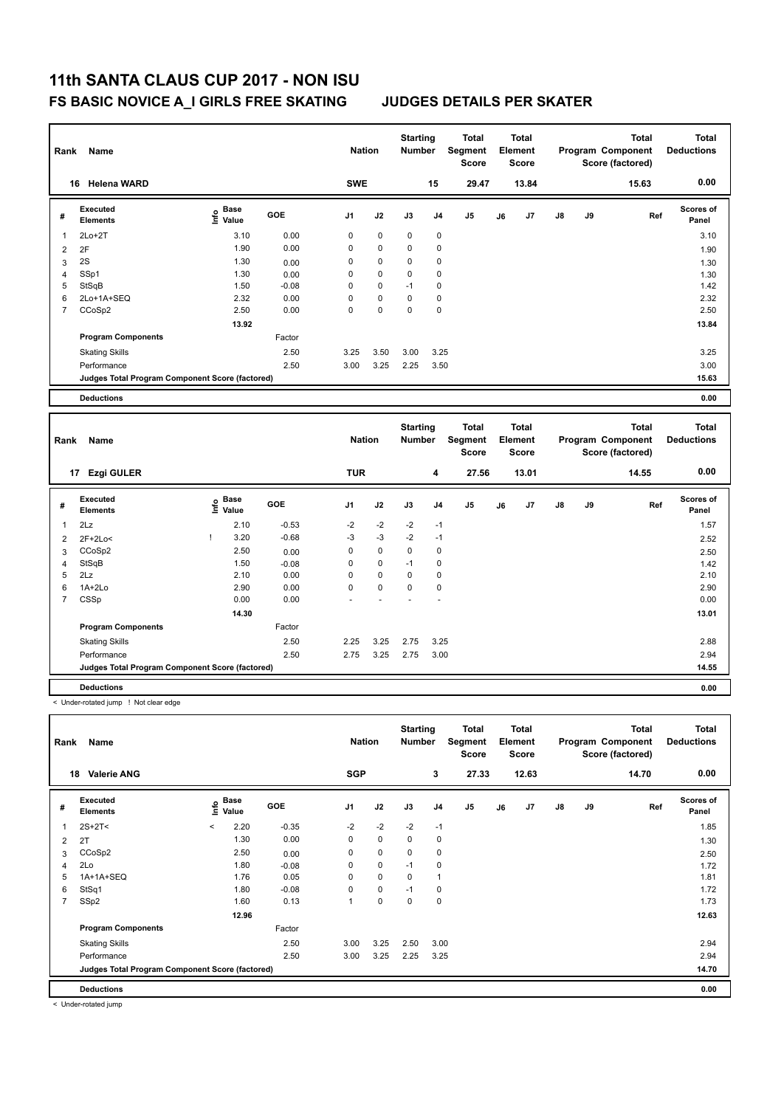| Rank           | Name                                            |                              |         | <b>Nation</b>  |           | <b>Starting</b><br><b>Number</b> |                | <b>Total</b><br>Segment<br><b>Score</b> |    | Total<br>Element<br><b>Score</b>        |    |    | <b>Total</b><br>Program Component<br>Score (factored) | <b>Total</b><br><b>Deductions</b> |
|----------------|-------------------------------------------------|------------------------------|---------|----------------|-----------|----------------------------------|----------------|-----------------------------------------|----|-----------------------------------------|----|----|-------------------------------------------------------|-----------------------------------|
|                | 16 Helena WARD                                  |                              |         | <b>SWE</b>     |           |                                  | 15             | 29.47                                   |    | 13.84                                   |    |    | 15.63                                                 | 0.00                              |
| #              | <b>Executed</b><br><b>Elements</b>              | <b>Base</b><br>١nf٥<br>Value | GOE     | J <sub>1</sub> | J2        | J3                               | J <sub>4</sub> | J5                                      | J6 | J7                                      | J8 | J9 | Ref                                                   | Scores of<br>Panel                |
| 1              | $2Lo+2T$                                        | 3.10                         | 0.00    | 0              | $\pmb{0}$ | $\mathbf 0$                      | $\pmb{0}$      |                                         |    |                                         |    |    |                                                       | 3.10                              |
| $\overline{2}$ | 2F                                              | 1.90                         | 0.00    | 0              | 0         | 0                                | $\pmb{0}$      |                                         |    |                                         |    |    |                                                       | 1.90                              |
| 3              | 2S                                              | 1.30                         | 0.00    | 0              | 0         | 0                                | $\mathbf 0$    |                                         |    |                                         |    |    |                                                       | 1.30                              |
| $\overline{4}$ | SSp1                                            | 1.30                         | 0.00    | 0              | 0         | 0                                | $\mathbf 0$    |                                         |    |                                         |    |    |                                                       | 1.30                              |
| 5              | StSqB                                           | 1.50                         | $-0.08$ | 0              | 0         | $-1$                             | $\pmb{0}$      |                                         |    |                                         |    |    |                                                       | 1.42                              |
| 6              | 2Lo+1A+SEQ                                      | 2.32                         | 0.00    | 0              | 0         | 0                                | $\pmb{0}$      |                                         |    |                                         |    |    |                                                       | 2.32                              |
| $\overline{7}$ | CCoSp2                                          | 2.50                         | 0.00    | $\overline{0}$ | 0         | 0                                | 0              |                                         |    |                                         |    |    |                                                       | 2.50                              |
|                |                                                 | 13.92                        |         |                |           |                                  |                |                                         |    |                                         |    |    |                                                       | 13.84                             |
|                | <b>Program Components</b>                       |                              | Factor  |                |           |                                  |                |                                         |    |                                         |    |    |                                                       |                                   |
|                | <b>Skating Skills</b>                           |                              | 2.50    | 3.25           | 3.50      | 3.00                             | 3.25           |                                         |    |                                         |    |    |                                                       | 3.25                              |
|                | Performance                                     |                              | 2.50    | 3.00           | 3.25      | 2.25                             | 3.50           |                                         |    |                                         |    |    |                                                       | 3.00                              |
|                | Judges Total Program Component Score (factored) |                              |         |                |           |                                  |                |                                         |    |                                         |    |    |                                                       | 15.63                             |
|                | <b>Deductions</b>                               |                              |         |                |           |                                  |                |                                         |    |                                         |    |    |                                                       | 0.00                              |
|                |                                                 |                              |         |                |           |                                  |                |                                         |    |                                         |    |    |                                                       |                                   |
| Rank           | Name                                            |                              |         | <b>Nation</b>  |           | <b>Starting</b><br><b>Number</b> |                | <b>Total</b><br>Segment<br><b>Score</b> |    | <b>Total</b><br>Element<br><b>Score</b> |    |    | <b>Total</b><br>Program Component<br>Score (factored) | <b>Total</b><br><b>Deductions</b> |
|                | 17 Ezgi GULER                                   |                              |         | <b>TUR</b>     |           |                                  | 4              | 27.56                                   |    | 13.01                                   |    |    | 14.55                                                 | 0.00                              |
| #              | <b>Executed</b><br><b>Elements</b>              | <b>Base</b><br>١m<br>Value   | GOE     | J <sub>1</sub> | J2        | J3                               | J <sub>4</sub> | J5                                      | J6 | J7                                      | J8 | J9 | Ref                                                   | Scores of<br>Panel                |
| 1              | 2Lz                                             | 2.10                         | $-0.53$ | $-2$           | $-2$      | $-2$                             | $-1$           |                                         |    |                                         |    |    |                                                       | 1.57                              |
| $\overline{2}$ | 2F+2Lo<                                         | 3.20<br>T                    | $-0.68$ | $-3$           | $-3$      | $-2$                             | $-1$           |                                         |    |                                         |    |    |                                                       | 2.52                              |
| 3              | CCoSp2                                          | 2.50                         | 0.00    | 0              | 0         | 0                                | $\mathbf 0$    |                                         |    |                                         |    |    |                                                       | 2.50                              |
| $\overline{4}$ | StSqB                                           | 1.50                         | $-0.08$ | 0              | 0         | $-1$                             | $\pmb{0}$      |                                         |    |                                         |    |    |                                                       | 1.42                              |
| 5              | 2Lz                                             | 2.10                         | 0.00    | 0              | 0         | $\mathbf 0$                      | $\mathbf 0$    |                                         |    |                                         |    |    |                                                       | 2.10                              |
| 6              | $1A+2Lo$                                        | 2.90                         | 0.00    | 0              | 0         | $\mathbf 0$                      | $\pmb{0}$      |                                         |    |                                         |    |    |                                                       | 2.90                              |
| $\overline{7}$ | CSSp                                            | 0.00                         | 0.00    |                |           |                                  |                |                                         |    |                                         |    |    |                                                       | 0.00                              |
|                |                                                 | 14.30                        |         |                |           |                                  |                |                                         |    |                                         |    |    |                                                       | 13.01                             |
|                | <b>Program Components</b>                       |                              | Factor  |                |           |                                  |                |                                         |    |                                         |    |    |                                                       |                                   |

**Judges Total Program Component Score (factored) 14.55**

**Deductions 0.00**

< Under-rotated jump ! Not clear edge

| Rank                    | Name                                            | <b>Nation</b> |                      | <b>Starting</b><br><b>Number</b> |                | Total<br>Segment<br><b>Score</b> |             | Total<br>Element<br>Score |       |    | <b>Total</b><br>Program Component<br>Score (factored) | <b>Total</b><br><b>Deductions</b> |    |       |                    |
|-------------------------|-------------------------------------------------|---------------|----------------------|----------------------------------|----------------|----------------------------------|-------------|---------------------------|-------|----|-------------------------------------------------------|-----------------------------------|----|-------|--------------------|
|                         | <b>Valerie ANG</b><br>18                        |               |                      |                                  | <b>SGP</b>     |                                  |             | 3                         | 27.33 |    | 12.63                                                 |                                   |    | 14.70 | 0.00               |
| #                       | Executed<br><b>Elements</b>                     | ١nfo          | <b>Base</b><br>Value | <b>GOE</b>                       | J <sub>1</sub> | J2                               | J3          | J <sub>4</sub>            | J5    | J6 | J7                                                    | $\mathsf{J}8$                     | J9 | Ref   | Scores of<br>Panel |
| $\overline{\mathbf{1}}$ | $2S+2T<$                                        | $\prec$       | 2.20                 | $-0.35$                          | $-2$           | $-2$                             | $-2$        | $-1$                      |       |    |                                                       |                                   |    |       | 1.85               |
| 2                       | 2T                                              |               | 1.30                 | 0.00                             | $\mathbf 0$    | $\mathbf 0$                      | $\mathbf 0$ | $\mathbf 0$               |       |    |                                                       |                                   |    |       | 1.30               |
| 3                       | CCoSp2                                          |               | 2.50                 | 0.00                             | 0              | $\pmb{0}$                        | $\mathbf 0$ | 0                         |       |    |                                                       |                                   |    |       | 2.50               |
| $\overline{4}$          | 2Lo                                             |               | 1.80                 | $-0.08$                          | 0              | $\mathbf 0$                      | $-1$        | $\mathbf 0$               |       |    |                                                       |                                   |    |       | 1.72               |
| 5                       | 1A+1A+SEQ                                       |               | 1.76                 | 0.05                             | 0              | $\mathbf 0$                      | 0           | 1                         |       |    |                                                       |                                   |    |       | 1.81               |
| 6                       | StSq1                                           |               | 1.80                 | $-0.08$                          | 0              | $\mathbf 0$                      | $-1$        | 0                         |       |    |                                                       |                                   |    |       | 1.72               |
| 7                       | SSp2                                            |               | 1.60                 | 0.13                             | 1              | $\pmb{0}$                        | 0           | $\mathbf 0$               |       |    |                                                       |                                   |    |       | 1.73               |
|                         |                                                 |               | 12.96                |                                  |                |                                  |             |                           |       |    |                                                       |                                   |    |       | 12.63              |
|                         | <b>Program Components</b>                       |               |                      | Factor                           |                |                                  |             |                           |       |    |                                                       |                                   |    |       |                    |
|                         | <b>Skating Skills</b>                           |               |                      | 2.50                             | 3.00           | 3.25                             | 2.50        | 3.00                      |       |    |                                                       |                                   |    |       | 2.94               |
|                         | Performance                                     |               |                      | 2.50                             | 3.00           | 3.25                             | 2.25        | 3.25                      |       |    |                                                       |                                   |    |       | 2.94               |
|                         | Judges Total Program Component Score (factored) |               |                      |                                  |                |                                  |             |                           |       |    |                                                       |                                   |    |       | 14.70              |
|                         | <b>Deductions</b>                               |               |                      |                                  |                |                                  |             |                           |       |    |                                                       |                                   |    |       | 0.00               |

Skating Skills 2.25 3.25 2.75 3.25 2.50 2.88

Performance 2.50 2.75 3.25 2.75 3.00 2.94

< Under-rotated jump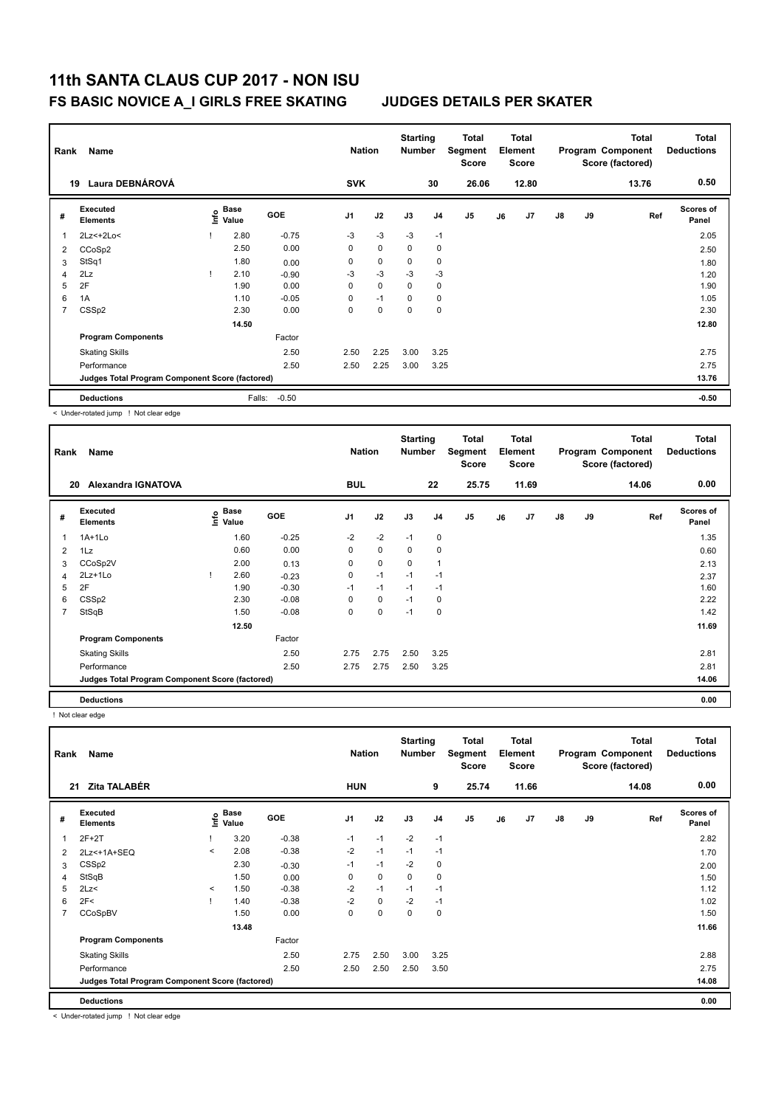|   | Rank<br>Name<br>Laura DEBNÁROVÁ<br>19           |  |                           |            |            | <b>Nation</b> | <b>Starting</b><br><b>Number</b> |                | <b>Total</b><br>Segment<br><b>Score</b> |    | <b>Total</b><br>Element<br><b>Score</b> |    |    | <b>Total</b><br>Program Component<br>Score (factored) | <b>Total</b><br><b>Deductions</b> |
|---|-------------------------------------------------|--|---------------------------|------------|------------|---------------|----------------------------------|----------------|-----------------------------------------|----|-----------------------------------------|----|----|-------------------------------------------------------|-----------------------------------|
|   |                                                 |  |                           |            | <b>SVK</b> |               |                                  | 30             | 26.06                                   |    | 12.80                                   |    |    | 13.76                                                 | 0.50                              |
| # | Executed<br><b>Elements</b>                     |  | Base<br>e Base<br>⊆ Value | <b>GOE</b> | J1         | J2            | J3                               | J <sub>4</sub> | J <sub>5</sub>                          | J6 | J <sub>7</sub>                          | J8 | J9 | Ref                                                   | <b>Scores of</b><br>Panel         |
| 1 | 2Lz <+ 2Lo <                                    |  | 2.80                      | $-0.75$    | $-3$       | $-3$          | $-3$                             | $-1$           |                                         |    |                                         |    |    |                                                       | 2.05                              |
| 2 | CCoSp2                                          |  | 2.50                      | 0.00       | 0          | $\mathbf 0$   | 0                                | 0              |                                         |    |                                         |    |    |                                                       | 2.50                              |
| 3 | StSq1                                           |  | 1.80                      | 0.00       | 0          | 0             | 0                                | 0              |                                         |    |                                         |    |    |                                                       | 1.80                              |
| 4 | 2Lz                                             |  | 2.10                      | $-0.90$    | $-3$       | $-3$          | $-3$                             | $-3$           |                                         |    |                                         |    |    |                                                       | 1.20                              |
| 5 | 2F                                              |  | 1.90                      | 0.00       | 0          | 0             | 0                                | 0              |                                         |    |                                         |    |    |                                                       | 1.90                              |
| 6 | 1A                                              |  | 1.10                      | $-0.05$    | 0          | $-1$          | 0                                | 0              |                                         |    |                                         |    |    |                                                       | 1.05                              |
| 7 | CSSp2                                           |  | 2.30                      | 0.00       | 0          | 0             | 0                                | 0              |                                         |    |                                         |    |    |                                                       | 2.30                              |
|   |                                                 |  | 14.50                     |            |            |               |                                  |                |                                         |    |                                         |    |    |                                                       | 12.80                             |
|   | <b>Program Components</b>                       |  |                           | Factor     |            |               |                                  |                |                                         |    |                                         |    |    |                                                       |                                   |
|   | <b>Skating Skills</b>                           |  |                           | 2.50       | 2.50       | 2.25          | 3.00                             | 3.25           |                                         |    |                                         |    |    |                                                       | 2.75                              |
|   | Performance                                     |  |                           | 2.50       | 2.50       | 2.25          | 3.00                             | 3.25           |                                         |    |                                         |    |    |                                                       | 2.75                              |
|   | Judges Total Program Component Score (factored) |  |                           |            |            |               |                                  |                |                                         |    |                                         |    |    |                                                       | 13.76                             |
|   | <b>Deductions</b>                               |  | Falls:                    | $-0.50$    |            |               |                                  |                |                                         |    |                                         |    |    |                                                       | $-0.50$                           |

< Under-rotated jump ! Not clear edge

| Rank | Name                                            |      | <b>Nation</b>        |         | <b>Starting</b><br><b>Number</b> |      | <b>Total</b><br>Segment<br>Score |                | <b>Total</b><br>Element<br><b>Score</b> |    |       | <b>Total</b><br>Program Component<br>Score (factored) | <b>Total</b><br><b>Deductions</b> |       |                           |
|------|-------------------------------------------------|------|----------------------|---------|----------------------------------|------|----------------------------------|----------------|-----------------------------------------|----|-------|-------------------------------------------------------|-----------------------------------|-------|---------------------------|
|      | Alexandra IGNATOVA<br>20                        |      |                      |         | <b>BUL</b>                       |      |                                  | 22             | 25.75                                   |    | 11.69 |                                                       |                                   | 14.06 | 0.00                      |
| #    | <b>Executed</b><br><b>Elements</b>              | lnfo | <b>Base</b><br>Value | GOE     | J <sub>1</sub>                   | J2   | J3                               | J <sub>4</sub> | J5                                      | J6 | J7    | $\mathsf{J}8$                                         | J9                                | Ref   | <b>Scores of</b><br>Panel |
| 1    | $1A+1L0$                                        |      | 1.60                 | $-0.25$ | $-2$                             | $-2$ | $-1$                             | 0              |                                         |    |       |                                                       |                                   |       | 1.35                      |
| 2    | 1Lz                                             |      | 0.60                 | 0.00    | 0                                | 0    | 0                                | $\mathbf 0$    |                                         |    |       |                                                       |                                   |       | 0.60                      |
| 3    | CCoSp2V                                         |      | 2.00                 | 0.13    | 0                                | 0    | 0                                | $\mathbf{1}$   |                                         |    |       |                                                       |                                   |       | 2.13                      |
| 4    | 2Lz+1Lo                                         |      | 2.60                 | $-0.23$ | 0                                | $-1$ | $-1$                             | $-1$           |                                         |    |       |                                                       |                                   |       | 2.37                      |
| 5    | 2F                                              |      | 1.90                 | $-0.30$ | $-1$                             | $-1$ | $-1$                             | $-1$           |                                         |    |       |                                                       |                                   |       | 1.60                      |
| 6    | CSS <sub>p2</sub>                               |      | 2.30                 | $-0.08$ | 0                                | 0    | $-1$                             | $\mathbf 0$    |                                         |    |       |                                                       |                                   |       | 2.22                      |
| 7    | StSqB                                           |      | 1.50                 | $-0.08$ | 0                                | 0    | $-1$                             | 0              |                                         |    |       |                                                       |                                   |       | 1.42                      |
|      |                                                 |      | 12.50                |         |                                  |      |                                  |                |                                         |    |       |                                                       |                                   |       | 11.69                     |
|      | <b>Program Components</b>                       |      |                      | Factor  |                                  |      |                                  |                |                                         |    |       |                                                       |                                   |       |                           |
|      | <b>Skating Skills</b>                           |      |                      | 2.50    | 2.75                             | 2.75 | 2.50                             | 3.25           |                                         |    |       |                                                       |                                   |       | 2.81                      |
|      | Performance                                     |      |                      | 2.50    | 2.75                             | 2.75 | 2.50                             | 3.25           |                                         |    |       |                                                       |                                   |       | 2.81                      |
|      | Judges Total Program Component Score (factored) |      |                      |         |                                  |      |                                  |                |                                         |    |       |                                                       |                                   |       | 14.06                     |
|      | <b>Deductions</b>                               |      |                      |         |                                  |      |                                  |                |                                         |    |       |                                                       |                                   |       | 0.00                      |

! Not clear edge

| Rank           | Name                                            | <b>Nation</b> |               | <b>Starting</b><br><b>Number</b> |                | <b>Total</b><br>Segment<br><b>Score</b> |             | Total<br>Element<br><b>Score</b> |                |    | <b>Total</b><br>Program Component<br>Score (factored) | <b>Total</b><br><b>Deductions</b> |    |       |                           |
|----------------|-------------------------------------------------|---------------|---------------|----------------------------------|----------------|-----------------------------------------|-------------|----------------------------------|----------------|----|-------------------------------------------------------|-----------------------------------|----|-------|---------------------------|
| 21             | Zita TALABÉR                                    |               |               |                                  | <b>HUN</b>     |                                         |             | 9                                | 25.74          |    | 11.66                                                 |                                   |    | 14.08 | 0.00                      |
| #              | Executed<br><b>Elements</b>                     | lnfo          | Base<br>Value | <b>GOE</b>                       | J <sub>1</sub> | J2                                      | J3          | J <sub>4</sub>                   | J <sub>5</sub> | J6 | J7                                                    | $\mathsf{J}8$                     | J9 | Ref   | <b>Scores of</b><br>Panel |
|                | $2F+2T$                                         |               | 3.20          | $-0.38$                          | $-1$           | $-1$                                    | $-2$        | $-1$                             |                |    |                                                       |                                   |    |       | 2.82                      |
| 2              | 2Lz<+1A+SEQ                                     | $\prec$       | 2.08          | $-0.38$                          | $-2$           | $-1$                                    | $-1$        | $-1$                             |                |    |                                                       |                                   |    |       | 1.70                      |
| 3              | CSS <sub>p2</sub>                               |               | 2.30          | $-0.30$                          | $-1$           | $-1$                                    | $-2$        | $\pmb{0}$                        |                |    |                                                       |                                   |    |       | 2.00                      |
| 4              | StSqB                                           |               | 1.50          | 0.00                             | 0              | $\pmb{0}$                               | $\mathbf 0$ | $\pmb{0}$                        |                |    |                                                       |                                   |    |       | 1.50                      |
| 5              | 2Lz                                             | $\prec$       | 1.50          | $-0.38$                          | $-2$           | $-1$                                    | $-1$        | $-1$                             |                |    |                                                       |                                   |    |       | 1.12                      |
| 6              | 2F<                                             |               | 1.40          | $-0.38$                          | $-2$           | $\pmb{0}$                               | $-2$        | $-1$                             |                |    |                                                       |                                   |    |       | 1.02                      |
| $\overline{7}$ | CCoSpBV                                         |               | 1.50          | 0.00                             | 0              | $\pmb{0}$                               | 0           | 0                                |                |    |                                                       |                                   |    |       | 1.50                      |
|                |                                                 |               | 13.48         |                                  |                |                                         |             |                                  |                |    |                                                       |                                   |    |       | 11.66                     |
|                | <b>Program Components</b>                       |               |               | Factor                           |                |                                         |             |                                  |                |    |                                                       |                                   |    |       |                           |
|                | <b>Skating Skills</b>                           |               |               | 2.50                             | 2.75           | 2.50                                    | 3.00        | 3.25                             |                |    |                                                       |                                   |    |       | 2.88                      |
|                | Performance                                     |               |               | 2.50                             | 2.50           | 2.50                                    | 2.50        | 3.50                             |                |    |                                                       |                                   |    |       | 2.75                      |
|                | Judges Total Program Component Score (factored) |               |               |                                  |                |                                         |             |                                  |                |    |                                                       |                                   |    |       | 14.08                     |
|                | <b>Deductions</b>                               |               |               |                                  |                |                                         |             |                                  |                |    |                                                       |                                   |    |       | 0.00                      |

< Under-rotated jump ! Not clear edge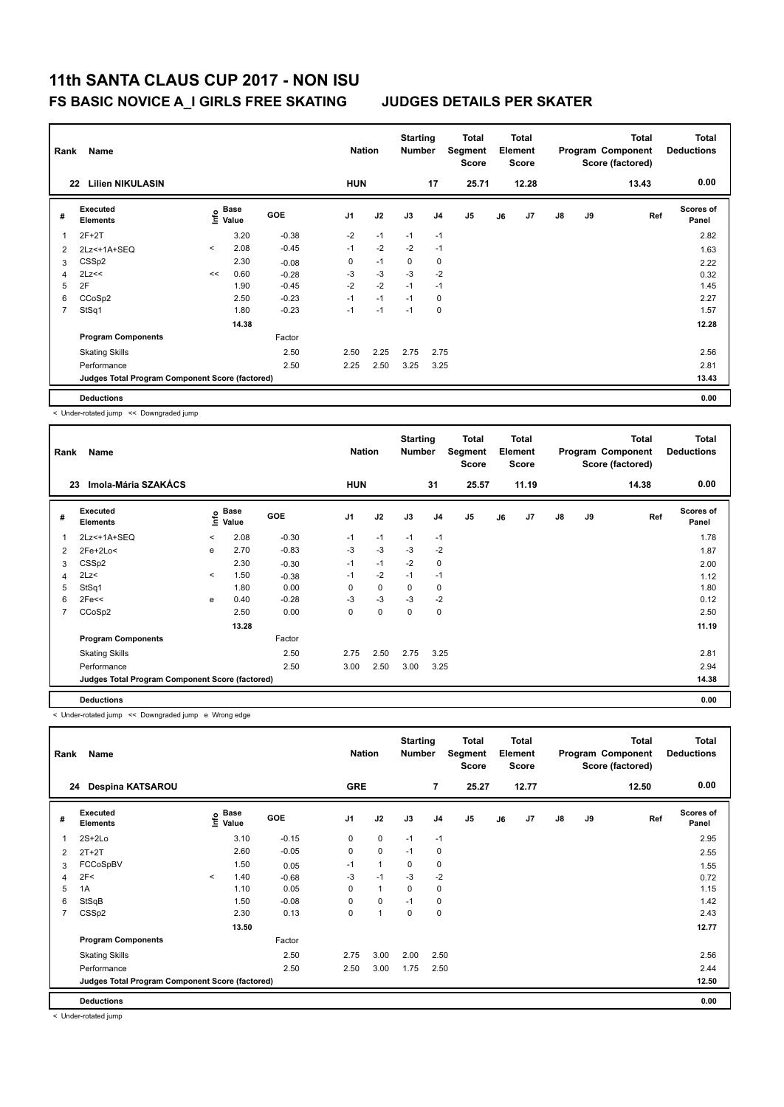| Rank           | Name<br><b>Lilien NIKULASIN</b><br>22           |         |                                  |            |            | <b>Nation</b> | <b>Starting</b><br><b>Number</b> |                | <b>Total</b><br>Segment<br><b>Score</b> |    | <b>Total</b><br>Element<br><b>Score</b> |               |    | <b>Total</b><br>Program Component<br>Score (factored) | Total<br><b>Deductions</b> |
|----------------|-------------------------------------------------|---------|----------------------------------|------------|------------|---------------|----------------------------------|----------------|-----------------------------------------|----|-----------------------------------------|---------------|----|-------------------------------------------------------|----------------------------|
|                |                                                 |         |                                  |            | <b>HUN</b> |               |                                  | 17             | 25.71                                   |    | 12.28                                   |               |    | 13.43                                                 | 0.00                       |
| #              | <b>Executed</b><br><b>Elements</b>              |         | <b>Base</b><br>e Base<br>⊆ Value | <b>GOE</b> | J1         | J2            | J3                               | J <sub>4</sub> | J <sub>5</sub>                          | J6 | J7                                      | $\mathsf{J}8$ | J9 | Ref                                                   | <b>Scores of</b><br>Panel  |
| 1              | $2F+2T$                                         |         | 3.20                             | $-0.38$    | $-2$       | $-1$          | $-1$                             | $-1$           |                                         |    |                                         |               |    |                                                       | 2.82                       |
| $\overline{2}$ | 2Lz<+1A+SEQ                                     | $\prec$ | 2.08                             | $-0.45$    | $-1$       | $-2$          | $-2$                             | $-1$           |                                         |    |                                         |               |    |                                                       | 1.63                       |
| 3              | CSS <sub>p2</sub>                               |         | 2.30                             | $-0.08$    | 0          | $-1$          | 0                                | $\mathbf 0$    |                                         |    |                                         |               |    |                                                       | 2.22                       |
| 4              | 2Lz<<                                           | <<      | 0.60                             | $-0.28$    | $-3$       | $-3$          | $-3$                             | $-2$           |                                         |    |                                         |               |    |                                                       | 0.32                       |
| 5              | 2F                                              |         | 1.90                             | $-0.45$    | $-2$       | $-2$          | $-1$                             | $-1$           |                                         |    |                                         |               |    |                                                       | 1.45                       |
| 6              | CCoSp2                                          |         | 2.50                             | $-0.23$    | $-1$       | $-1$          | $-1$                             | $\mathbf 0$    |                                         |    |                                         |               |    |                                                       | 2.27                       |
| 7              | StSq1                                           |         | 1.80                             | $-0.23$    | $-1$       | $-1$          | $-1$                             | $\mathbf 0$    |                                         |    |                                         |               |    |                                                       | 1.57                       |
|                |                                                 |         | 14.38                            |            |            |               |                                  |                |                                         |    |                                         |               |    |                                                       | 12.28                      |
|                | <b>Program Components</b>                       |         |                                  | Factor     |            |               |                                  |                |                                         |    |                                         |               |    |                                                       |                            |
|                | <b>Skating Skills</b>                           |         |                                  | 2.50       | 2.50       | 2.25          | 2.75                             | 2.75           |                                         |    |                                         |               |    |                                                       | 2.56                       |
|                | Performance                                     |         |                                  | 2.50       | 2.25       | 2.50          | 3.25                             | 3.25           |                                         |    |                                         |               |    |                                                       | 2.81                       |
|                | Judges Total Program Component Score (factored) |         |                                  |            |            |               |                                  |                |                                         |    |                                         |               |    |                                                       | 13.43                      |
|                | <b>Deductions</b>                               |         |                                  |            |            |               |                                  |                |                                         |    |                                         |               |    |                                                       | 0.00                       |

< Under-rotated jump << Downgraded jump

| Rank | Name                                            | <b>Nation</b> |                      | <b>Starting</b><br><b>Number</b> |                | Total<br>Segment<br><b>Score</b> |             | <b>Total</b><br>Element<br><b>Score</b> |                |    | <b>Total</b><br>Program Component<br>Score (factored) | <b>Total</b><br><b>Deductions</b> |    |       |                           |
|------|-------------------------------------------------|---------------|----------------------|----------------------------------|----------------|----------------------------------|-------------|-----------------------------------------|----------------|----|-------------------------------------------------------|-----------------------------------|----|-------|---------------------------|
|      | Imola-Mária SZAKÁCS<br>23                       |               |                      |                                  | <b>HUN</b>     |                                  |             | 31                                      | 25.57          |    | 11.19                                                 |                                   |    | 14.38 | 0.00                      |
| #    | Executed<br><b>Elements</b>                     | lnfo          | <b>Base</b><br>Value | <b>GOE</b>                       | J <sub>1</sub> | J2                               | J3          | J <sub>4</sub>                          | J <sub>5</sub> | J6 | J7                                                    | J8                                | J9 | Ref   | <b>Scores of</b><br>Panel |
| 1    | 2Lz <+ 1A + SEQ                                 | $\checkmark$  | 2.08                 | $-0.30$                          | $-1$           | $-1$                             | $-1$        | $-1$                                    |                |    |                                                       |                                   |    |       | 1.78                      |
| 2    | 2Fe+2Lo<                                        | e             | 2.70                 | $-0.83$                          | $-3$           | $-3$                             | $-3$        | $-2$                                    |                |    |                                                       |                                   |    |       | 1.87                      |
| 3    | CSS <sub>p2</sub>                               |               | 2.30                 | $-0.30$                          | $-1$           | $-1$                             | $-2$        | 0                                       |                |    |                                                       |                                   |    |       | 2.00                      |
| 4    | 2Lz<                                            | $\prec$       | 1.50                 | $-0.38$                          | $-1$           | $-2$                             | $-1$        | $-1$                                    |                |    |                                                       |                                   |    |       | 1.12                      |
| 5    | StSq1                                           |               | 1.80                 | 0.00                             | $\Omega$       | $\mathbf 0$                      | 0           | 0                                       |                |    |                                                       |                                   |    |       | 1.80                      |
| 6    | 2Fe<<                                           | e             | 0.40                 | $-0.28$                          | $-3$           | $-3$                             | $-3$        | $-2$                                    |                |    |                                                       |                                   |    |       | 0.12                      |
| 7    | CCoSp2                                          |               | 2.50                 | 0.00                             | 0              | 0                                | $\mathbf 0$ | 0                                       |                |    |                                                       |                                   |    |       | 2.50                      |
|      |                                                 |               | 13.28                |                                  |                |                                  |             |                                         |                |    |                                                       |                                   |    |       | 11.19                     |
|      | <b>Program Components</b>                       |               |                      | Factor                           |                |                                  |             |                                         |                |    |                                                       |                                   |    |       |                           |
|      | <b>Skating Skills</b>                           |               |                      | 2.50                             | 2.75           | 2.50                             | 2.75        | 3.25                                    |                |    |                                                       |                                   |    |       | 2.81                      |
|      | Performance                                     |               |                      | 2.50                             | 3.00           | 2.50                             | 3.00        | 3.25                                    |                |    |                                                       |                                   |    |       | 2.94                      |
|      | Judges Total Program Component Score (factored) |               |                      |                                  |                |                                  |             |                                         |                |    |                                                       |                                   |    |       | 14.38                     |
|      | <b>Deductions</b>                               |               |                      |                                  |                |                                  |             |                                         |                |    |                                                       |                                   |    |       | 0.00                      |

< Under-rotated jump << Downgraded jump e Wrong edge

| Rank                    | Name                                            | <b>Nation</b> |                                    | <b>Starting</b><br><b>Number</b> |                | Total<br>Segment<br><b>Score</b> |             | <b>Total</b><br>Element<br><b>Score</b> |                |    | <b>Total</b><br>Program Component<br>Score (factored) | <b>Total</b><br><b>Deductions</b> |    |       |                           |
|-------------------------|-------------------------------------------------|---------------|------------------------------------|----------------------------------|----------------|----------------------------------|-------------|-----------------------------------------|----------------|----|-------------------------------------------------------|-----------------------------------|----|-------|---------------------------|
| 24                      | Despina KATSAROU                                |               |                                    |                                  | <b>GRE</b>     |                                  |             | $\overline{7}$                          | 25.27          |    | 12.77                                                 |                                   |    | 12.50 | 0.00                      |
| #                       | Executed<br><b>Elements</b>                     |               | <b>Base</b><br>$\frac{6}{5}$ Value | <b>GOE</b>                       | J <sub>1</sub> | J2                               | J3          | J <sub>4</sub>                          | J <sub>5</sub> | J6 | J7                                                    | $\mathsf{J}8$                     | J9 | Ref   | <b>Scores of</b><br>Panel |
| $\overline{\mathbf{1}}$ | $2S+2Lo$                                        |               | 3.10                               | $-0.15$                          | 0              | $\mathbf 0$                      | $-1$        | $-1$                                    |                |    |                                                       |                                   |    |       | 2.95                      |
| 2                       | $2T+2T$                                         |               | 2.60                               | $-0.05$                          | 0              | $\pmb{0}$                        | $-1$        | $\mathbf 0$                             |                |    |                                                       |                                   |    |       | 2.55                      |
| 3                       | FCCoSpBV                                        |               | 1.50                               | 0.05                             | $-1$           | $\mathbf{1}$                     | $\mathbf 0$ | $\mathbf 0$                             |                |    |                                                       |                                   |    |       | 1.55                      |
| $\overline{4}$          | 2F<                                             | $\prec$       | 1.40                               | $-0.68$                          | -3             | $-1$                             | $-3$        | $-2$                                    |                |    |                                                       |                                   |    |       | 0.72                      |
| 5                       | 1A                                              |               | 1.10                               | 0.05                             | 0              | $\mathbf{1}$                     | $\mathbf 0$ | $\mathbf 0$                             |                |    |                                                       |                                   |    |       | 1.15                      |
| 6                       | StSqB                                           |               | 1.50                               | $-0.08$                          | 0              | 0                                | $-1$        | 0                                       |                |    |                                                       |                                   |    |       | 1.42                      |
| $\overline{7}$          | CSSp2                                           |               | 2.30                               | 0.13                             | 0              | $\overline{1}$                   | 0           | $\mathbf 0$                             |                |    |                                                       |                                   |    |       | 2.43                      |
|                         |                                                 |               | 13.50                              |                                  |                |                                  |             |                                         |                |    |                                                       |                                   |    |       | 12.77                     |
|                         | <b>Program Components</b>                       |               |                                    | Factor                           |                |                                  |             |                                         |                |    |                                                       |                                   |    |       |                           |
|                         | <b>Skating Skills</b>                           |               |                                    | 2.50                             | 2.75           | 3.00                             | 2.00        | 2.50                                    |                |    |                                                       |                                   |    |       | 2.56                      |
|                         | Performance                                     |               |                                    | 2.50                             | 2.50           | 3.00                             | 1.75        | 2.50                                    |                |    |                                                       |                                   |    |       | 2.44                      |
|                         | Judges Total Program Component Score (factored) |               |                                    |                                  |                |                                  |             |                                         |                |    |                                                       |                                   |    |       | 12.50                     |
|                         | <b>Deductions</b>                               |               |                                    |                                  |                |                                  |             |                                         |                |    |                                                       |                                   |    |       | 0.00                      |

< Under-rotated jump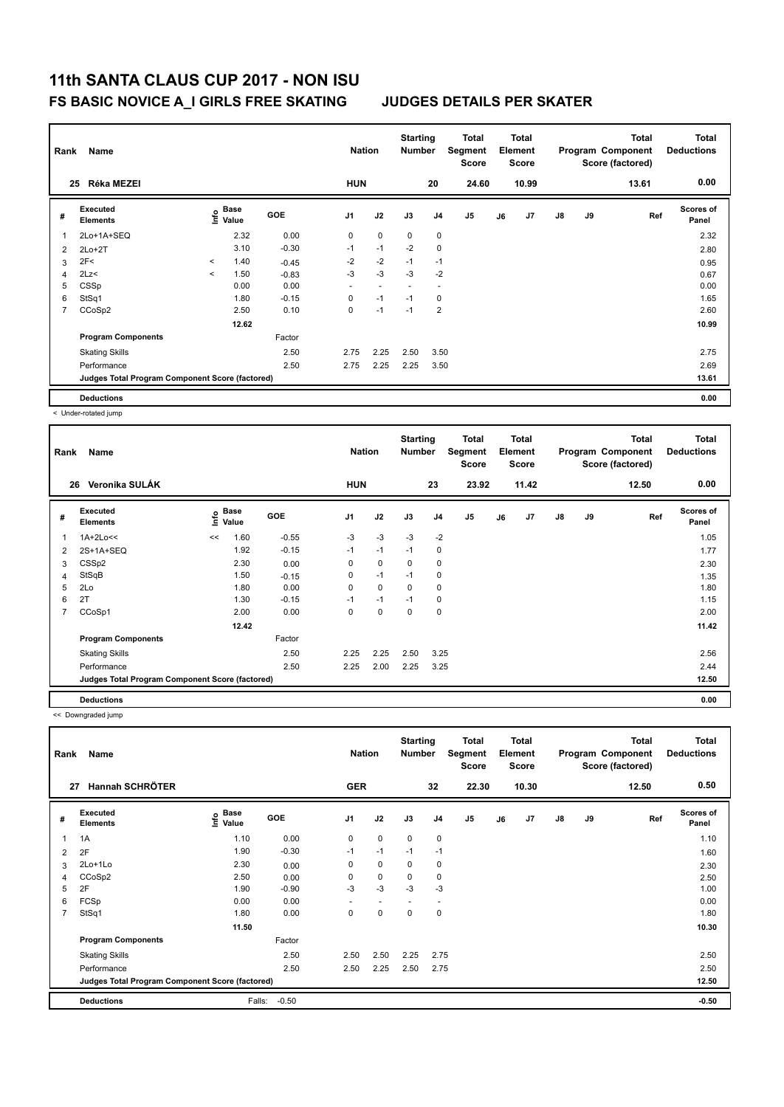| Rank           | Name                                            |         | <b>Nation</b> |            | <b>Starting</b><br><b>Number</b> |                | <b>Total</b><br>Segment<br><b>Score</b> |                | Total<br>Element<br><b>Score</b> |    |       | <b>Total</b><br>Program Component<br>Score (factored) | <b>Total</b><br><b>Deductions</b> |       |                           |
|----------------|-------------------------------------------------|---------|---------------|------------|----------------------------------|----------------|-----------------------------------------|----------------|----------------------------------|----|-------|-------------------------------------------------------|-----------------------------------|-------|---------------------------|
| 25             | Réka MEZEI                                      |         |               |            | <b>HUN</b>                       |                |                                         | 20             | 24.60                            |    | 10.99 |                                                       |                                   | 13.61 | 0.00                      |
| #              | <b>Executed</b><br><b>Elements</b>              | ۴       | Base<br>Value | <b>GOE</b> | J <sub>1</sub>                   | J2             | J3                                      | J <sub>4</sub> | J <sub>5</sub>                   | J6 | J7    | $\mathsf{J}8$                                         | J9                                | Ref   | <b>Scores of</b><br>Panel |
| 1              | 2Lo+1A+SEQ                                      |         | 2.32          | 0.00       | 0                                | $\mathbf 0$    | $\mathbf 0$                             | $\mathbf 0$    |                                  |    |       |                                                       |                                   |       | 2.32                      |
| 2              | $2Lo+2T$                                        |         | 3.10          | $-0.30$    | $-1$                             | $-1$           | $-2$                                    | $\mathbf 0$    |                                  |    |       |                                                       |                                   |       | 2.80                      |
| 3              | 2F<                                             | $\prec$ | 1.40          | $-0.45$    | $-2$                             | $-2$           | $-1$                                    | $-1$           |                                  |    |       |                                                       |                                   |       | 0.95                      |
| 4              | 2Lz<                                            | $\prec$ | 1.50          | $-0.83$    | $-3$                             | $-3$           | $-3$                                    | $-2$           |                                  |    |       |                                                       |                                   |       | 0.67                      |
| 5              | CSSp                                            |         | 0.00          | 0.00       | $\overline{\phantom{a}}$         | $\overline{a}$ | $\overline{a}$                          |                |                                  |    |       |                                                       |                                   |       | 0.00                      |
| 6              | StSq1                                           |         | 1.80          | $-0.15$    | 0                                | $-1$           | $-1$                                    | 0              |                                  |    |       |                                                       |                                   |       | 1.65                      |
| $\overline{7}$ | CCoSp2                                          |         | 2.50          | 0.10       | $\Omega$                         | $-1$           | $-1$                                    | $\overline{2}$ |                                  |    |       |                                                       |                                   |       | 2.60                      |
|                |                                                 |         | 12.62         |            |                                  |                |                                         |                |                                  |    |       |                                                       |                                   |       | 10.99                     |
|                | <b>Program Components</b>                       |         |               | Factor     |                                  |                |                                         |                |                                  |    |       |                                                       |                                   |       |                           |
|                | <b>Skating Skills</b>                           |         |               | 2.50       | 2.75                             | 2.25           | 2.50                                    | 3.50           |                                  |    |       |                                                       |                                   |       | 2.75                      |
|                | Performance                                     |         |               | 2.50       | 2.75                             | 2.25           | 2.25                                    | 3.50           |                                  |    |       |                                                       |                                   |       | 2.69                      |
|                | Judges Total Program Component Score (factored) |         |               |            |                                  |                |                                         |                |                                  |    |       |                                                       |                                   |       | 13.61                     |
|                | <b>Deductions</b>                               |         |               |            |                                  |                |                                         |                |                                  |    |       |                                                       |                                   |       | 0.00                      |

< Under-rotated jump

| Rank | Name                                            |      | <b>Nation</b> |         | <b>Starting</b><br><b>Number</b> |          | <b>Total</b><br>Segment<br><b>Score</b> |                | <b>Total</b><br>Element<br><b>Score</b> |    |       | <b>Total</b><br>Program Component<br>Score (factored) | <b>Total</b><br><b>Deductions</b> |       |                           |
|------|-------------------------------------------------|------|---------------|---------|----------------------------------|----------|-----------------------------------------|----------------|-----------------------------------------|----|-------|-------------------------------------------------------|-----------------------------------|-------|---------------------------|
|      | Veronika SULÁK<br>26                            |      |               |         | <b>HUN</b>                       |          |                                         | 23             | 23.92                                   |    | 11.42 |                                                       |                                   | 12.50 | 0.00                      |
| #    | Executed<br><b>Elements</b>                     | ١nf٥ | Base<br>Value | GOE     | J <sub>1</sub>                   | J2       | J3                                      | J <sub>4</sub> | J <sub>5</sub>                          | J6 | J7    | $\mathsf{J}8$                                         | J9                                | Ref   | <b>Scores of</b><br>Panel |
| 1    | $1A+2Lo<<$                                      | <<   | 1.60          | $-0.55$ | $-3$                             | $-3$     | $-3$                                    | $-2$           |                                         |    |       |                                                       |                                   |       | 1.05                      |
| 2    | 2S+1A+SEQ                                       |      | 1.92          | $-0.15$ | $-1$                             | $-1$     | $-1$                                    | 0              |                                         |    |       |                                                       |                                   |       | 1.77                      |
| 3    | CSS <sub>p2</sub>                               |      | 2.30          | 0.00    | 0                                | 0        | 0                                       | 0              |                                         |    |       |                                                       |                                   |       | 2.30                      |
| 4    | StSqB                                           |      | 1.50          | $-0.15$ | 0                                | $-1$     | $-1$                                    | 0              |                                         |    |       |                                                       |                                   |       | 1.35                      |
| 5    | 2Lo                                             |      | 1.80          | 0.00    | $\Omega$                         | $\Omega$ | $\Omega$                                | 0              |                                         |    |       |                                                       |                                   |       | 1.80                      |
| 6    | 2T                                              |      | 1.30          | $-0.15$ | $-1$                             | $-1$     | $-1$                                    | 0              |                                         |    |       |                                                       |                                   |       | 1.15                      |
| 7    | CCoSp1                                          |      | 2.00          | 0.00    | 0                                | 0        | 0                                       | 0              |                                         |    |       |                                                       |                                   |       | 2.00                      |
|      |                                                 |      | 12.42         |         |                                  |          |                                         |                |                                         |    |       |                                                       |                                   |       | 11.42                     |
|      | <b>Program Components</b>                       |      |               | Factor  |                                  |          |                                         |                |                                         |    |       |                                                       |                                   |       |                           |
|      | <b>Skating Skills</b>                           |      |               | 2.50    | 2.25                             | 2.25     | 2.50                                    | 3.25           |                                         |    |       |                                                       |                                   |       | 2.56                      |
|      | Performance                                     |      |               | 2.50    | 2.25                             | 2.00     | 2.25                                    | 3.25           |                                         |    |       |                                                       |                                   |       | 2.44                      |
|      | Judges Total Program Component Score (factored) |      |               |         |                                  |          |                                         |                |                                         |    |       |                                                       |                                   |       | 12.50                     |
|      | <b>Deductions</b>                               |      |               |         |                                  |          |                                         |                |                                         |    |       |                                                       |                                   |       | 0.00                      |

<< Downgraded jump

| Rank           | Name<br><b>Hannah SCHRÖTER</b>                  |                            |            | <b>Nation</b>            |             | <b>Starting</b><br><b>Number</b> |                          | <b>Total</b><br>Segment<br><b>Score</b> |    | <b>Total</b><br>Element<br><b>Score</b> |               |       | Total<br>Program Component<br>Score (factored) | <b>Total</b><br><b>Deductions</b><br>0.50 |
|----------------|-------------------------------------------------|----------------------------|------------|--------------------------|-------------|----------------------------------|--------------------------|-----------------------------------------|----|-----------------------------------------|---------------|-------|------------------------------------------------|-------------------------------------------|
| 27             |                                                 |                            |            | <b>GER</b>               |             |                                  | 32                       | 22.30                                   |    | 10.30                                   |               |       | 12.50                                          |                                           |
| #              | Executed<br><b>Elements</b>                     | Base<br>$\frac{e}{2}$ Base | <b>GOE</b> | J <sub>1</sub>           | J2          | J3                               | J4                       | J <sub>5</sub>                          | J6 | J7                                      | $\mathsf{J}8$ | J9    | Ref                                            | <b>Scores of</b><br>Panel                 |
|                | 1A                                              | 1.10                       | 0.00       | $\mathbf 0$              | $\mathbf 0$ | $\mathbf 0$                      | $\pmb{0}$                |                                         |    |                                         |               |       |                                                | 1.10                                      |
| 2              | 2F                                              | 1.90                       | $-0.30$    | $-1$                     | $-1$        | $-1$                             | $-1$                     |                                         |    |                                         |               |       |                                                | 1.60                                      |
| 3              | 2Lo+1Lo                                         | 2.30                       | 0.00       | 0                        | $\mathbf 0$ | $\mathbf 0$                      | 0                        |                                         |    |                                         |               |       |                                                | 2.30                                      |
| 4              | CCoSp2                                          | 2.50                       | 0.00       | 0                        | $\mathbf 0$ | $\mathbf 0$                      | $\mathbf 0$              |                                         |    |                                         |               |       |                                                | 2.50                                      |
| 5              | 2F                                              | 1.90                       | $-0.90$    | $-3$                     | $-3$        | $-3$                             | $-3$                     |                                         |    |                                         |               |       |                                                | 1.00                                      |
| 6              | FCSp                                            | 0.00                       | 0.00       | $\overline{\phantom{0}}$ | ۰           | ٠                                | $\overline{\phantom{a}}$ |                                         |    |                                         |               |       |                                                | 0.00                                      |
| $\overline{7}$ | StSq1                                           | 1.80                       | 0.00       | 0                        | $\mathbf 0$ | 0                                | $\mathbf 0$              |                                         |    |                                         |               |       |                                                | 1.80                                      |
|                |                                                 | 11.50                      |            |                          |             |                                  |                          |                                         |    |                                         |               |       |                                                | 10.30                                     |
|                | <b>Program Components</b>                       |                            | Factor     |                          |             |                                  |                          |                                         |    |                                         |               |       |                                                |                                           |
|                | <b>Skating Skills</b>                           |                            | 2.50       | 2.50                     | 2.50        | 2.25                             | 2.75                     |                                         |    |                                         |               |       |                                                | 2.50                                      |
|                | Performance                                     |                            | 2.50       | 2.50                     | 2.25        | 2.50                             | 2.75                     |                                         |    |                                         |               |       |                                                | 2.50                                      |
|                | Judges Total Program Component Score (factored) |                            |            |                          |             |                                  |                          |                                         |    |                                         |               | 12.50 |                                                |                                           |
|                | <b>Deductions</b>                               | Falls:                     | $-0.50$    |                          |             |                                  |                          |                                         |    |                                         |               |       |                                                | $-0.50$                                   |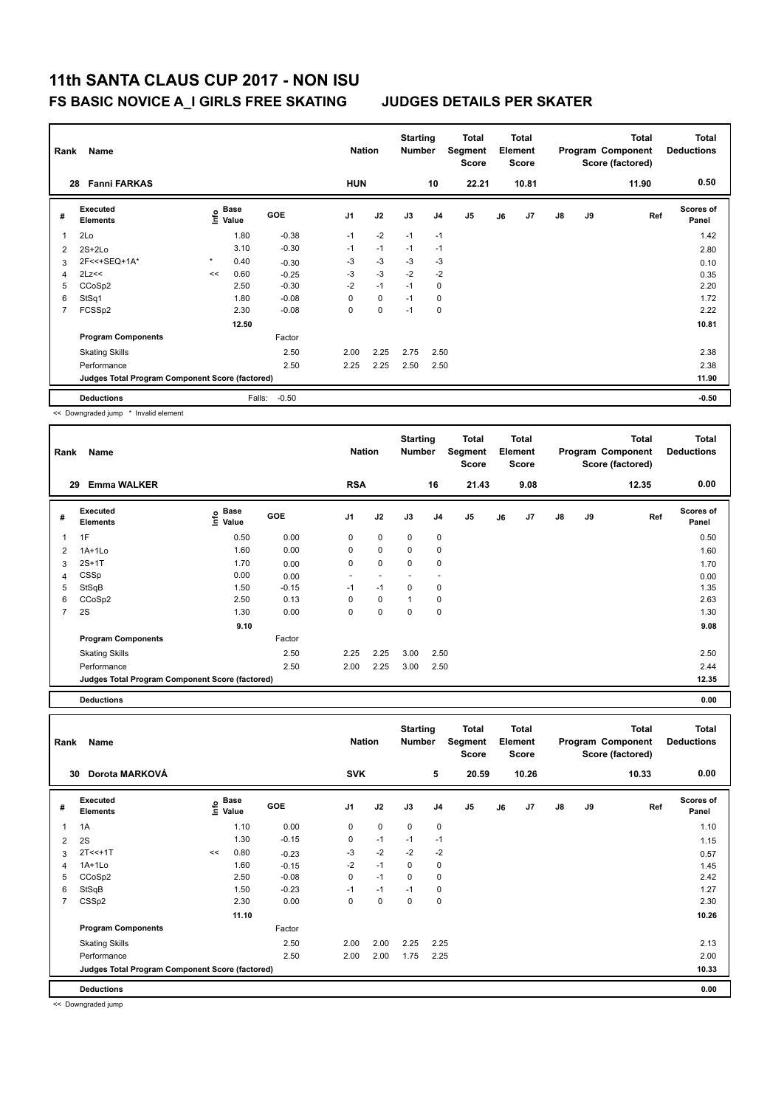|    | Rank<br>Name                                    |         |                                  |            |            | <b>Nation</b> |      | <b>Starting</b><br><b>Number</b> | <b>Total</b><br>Segment<br><b>Score</b> | <b>Total</b><br>Element<br><b>Score</b> |       |               |    | <b>Total</b><br>Program Component<br>Score (factored) | <b>Total</b><br><b>Deductions</b> |
|----|-------------------------------------------------|---------|----------------------------------|------------|------------|---------------|------|----------------------------------|-----------------------------------------|-----------------------------------------|-------|---------------|----|-------------------------------------------------------|-----------------------------------|
| 28 | <b>Fanni FARKAS</b>                             |         |                                  |            | <b>HUN</b> |               |      | 10                               | 22.21                                   |                                         | 10.81 |               |    | 11.90                                                 | 0.50                              |
| #  | Executed<br><b>Elements</b>                     |         | <b>Base</b><br>e Base<br>⊆ Value | <b>GOE</b> | J1         | J2            | J3   | J <sub>4</sub>                   | J <sub>5</sub>                          | J6                                      | J7    | $\mathsf{J}8$ | J9 | Ref                                                   | <b>Scores of</b><br>Panel         |
|    | 2Lo                                             |         | 1.80                             | $-0.38$    | $-1$       | $-2$          | $-1$ | $-1$                             |                                         |                                         |       |               |    |                                                       | 1.42                              |
| 2  | $2S+2Lo$                                        |         | 3.10                             | $-0.30$    | $-1$       | $-1$          | $-1$ | $-1$                             |                                         |                                         |       |               |    |                                                       | 2.80                              |
| 3  | 2F<<+SEQ+1A*                                    | $\star$ | 0.40                             | $-0.30$    | $-3$       | $-3$          | $-3$ | $-3$                             |                                         |                                         |       |               |    |                                                       | 0.10                              |
| 4  | 2Lz<<                                           | <<      | 0.60                             | $-0.25$    | $-3$       | $-3$          | $-2$ | $-2$                             |                                         |                                         |       |               |    |                                                       | 0.35                              |
| 5  | CCoSp2                                          |         | 2.50                             | $-0.30$    | $-2$       | $-1$          | $-1$ | 0                                |                                         |                                         |       |               |    |                                                       | 2.20                              |
| 6  | StSq1                                           |         | 1.80                             | $-0.08$    | $\Omega$   | $\mathbf 0$   | $-1$ | 0                                |                                         |                                         |       |               |    |                                                       | 1.72                              |
| 7  | FCSSp2                                          |         | 2.30                             | $-0.08$    | 0          | 0             | $-1$ | 0                                |                                         |                                         |       |               |    |                                                       | 2.22                              |
|    |                                                 | 12.50   |                                  |            |            |               |      |                                  |                                         |                                         |       |               |    | 10.81                                                 |                                   |
|    | <b>Program Components</b>                       |         |                                  | Factor     |            |               |      |                                  |                                         |                                         |       |               |    |                                                       |                                   |
|    | <b>Skating Skills</b>                           |         |                                  | 2.50       | 2.00       | 2.25          | 2.75 | 2.50                             |                                         |                                         |       |               |    |                                                       | 2.38                              |
|    | Performance                                     |         |                                  | 2.50       | 2.25       | 2.25          | 2.50 | 2.50                             |                                         |                                         |       |               |    |                                                       | 2.38                              |
|    | Judges Total Program Component Score (factored) |         |                                  |            |            |               |      |                                  |                                         |                                         |       | 11.90         |    |                                                       |                                   |
|    | <b>Deductions</b>                               |         | Falls:                           | $-0.50$    |            |               |      |                                  |                                         |                                         |       |               |    |                                                       | $-0.50$                           |

<< Downgraded jump \* Invalid element

|   | Rank<br>Name                                    |                                    |         |                |             | <b>Starting</b><br><b>Number</b> |                | Total<br>Segment<br><b>Score</b> | Total<br>Element<br><b>Score</b> |      |               |    | <b>Total</b><br>Program Component<br>Score (factored) | <b>Total</b><br><b>Deductions</b> |  |
|---|-------------------------------------------------|------------------------------------|---------|----------------|-------------|----------------------------------|----------------|----------------------------------|----------------------------------|------|---------------|----|-------------------------------------------------------|-----------------------------------|--|
|   | <b>Emma WALKER</b><br>29                        |                                    |         | <b>RSA</b>     |             |                                  | 16             | 21.43                            |                                  | 9.08 |               |    | 12.35                                                 | 0.00                              |  |
| # | Executed<br><b>Elements</b>                     | <b>Base</b><br><u>f</u> o<br>Value | GOE     | J <sub>1</sub> | J2          | J3                               | J <sub>4</sub> | J <sub>5</sub>                   | J6                               | J7   | $\mathsf{J}8$ | J9 | Ref                                                   | Scores of<br>Panel                |  |
| 1 | 1F                                              | 0.50                               | 0.00    | 0              | 0           | 0                                | $\mathbf 0$    |                                  |                                  |      |               |    |                                                       | 0.50                              |  |
| 2 | $1A+1L0$                                        | 1.60                               | 0.00    | 0              | 0           | $\mathbf 0$                      | 0              |                                  |                                  |      |               |    |                                                       | 1.60                              |  |
| 3 | $2S+1T$                                         | 1.70                               | 0.00    | 0              | $\mathbf 0$ | $\mathbf 0$                      | 0              |                                  |                                  |      |               |    |                                                       | 1.70                              |  |
| 4 | CSSp                                            | 0.00                               | 0.00    |                |             |                                  |                |                                  |                                  |      |               |    |                                                       | 0.00                              |  |
| 5 | StSqB                                           | 1.50                               | $-0.15$ | $-1$           | $-1$        | $\mathbf 0$                      | 0              |                                  |                                  |      |               |    |                                                       | 1.35                              |  |
| 6 | CCoSp2                                          | 2.50                               | 0.13    | 0              | 0           | $\overline{1}$                   | 0              |                                  |                                  |      |               |    |                                                       | 2.63                              |  |
| 7 | 2S                                              | 1.30                               | 0.00    | 0              | 0           | 0                                | 0              |                                  |                                  |      |               |    |                                                       | 1.30                              |  |
|   |                                                 | 9.10                               |         |                |             |                                  |                |                                  |                                  |      |               |    |                                                       | 9.08                              |  |
|   | <b>Program Components</b>                       |                                    | Factor  |                |             |                                  |                |                                  |                                  |      |               |    |                                                       |                                   |  |
|   | <b>Skating Skills</b>                           |                                    | 2.50    | 2.25           | 2.25        | 3.00                             | 2.50           |                                  |                                  |      |               |    |                                                       | 2.50                              |  |
|   | Performance                                     |                                    | 2.50    | 2.00           | 2.25        | 3.00                             | 2.50           |                                  |                                  |      |               |    |                                                       | 2.44                              |  |
|   | Judges Total Program Component Score (factored) |                                    |         |                |             |                                  |                |                                  |                                  |      |               |    |                                                       | 12.35                             |  |

**Deductions 0.00 Total Deductions Total Program Component Score (factored) Total Element Segment Score Total Score Starting Rank Name Nation Number # Executed Elements Base Value GOE J1 J2 J3 J4 J5 J6 J7 J8 J9 Scores of Panel** 1 1A 1.10 0.00 0 0 0 0 0 **Ref**  سماء بال بن المسابق المسابق المسابق المسابق المسابق المسابق المسابق المسابق المسابق المسابق المسابق المسابق ال<br>1A 1.10 0.00 0 0 0 0 0 1.10<br>1A 1.10 0.00 0 0 0 0 0 1.10  **30 Dorota MARKOVÁ SVK 5 20.59 10.26 10.33 0.00** 2 2S 1.30 -0.15 0 -1 -1 -1 1.15 3 2T<<+1T  $\leq 0.80$   $-0.23$   $-3$   $-2$   $-2$   $-2$ 4 1A+1Lo 1.60 -0.15 -2 -1 0 0 1.45 5 CCoSp2 2.50 -0.08 0 -1 0 0 2.42 6 StSqB 1.50 -0.23 -1 -1 -1 0 1.27 7 CSSp2 2.30 0.00 0 0 0 0 2.30 **11.10 10.26 Program Components**  Skating Skills **2.50** 2.00 2.00 2.25 2.25 Factor 2.50 2.13 Performance 2.50 2.00 2.00 1.75 2.25 2.00 **Deductions 0.00 Judges Total Program Component Score (factored) 10.33**

<< Downgraded jump